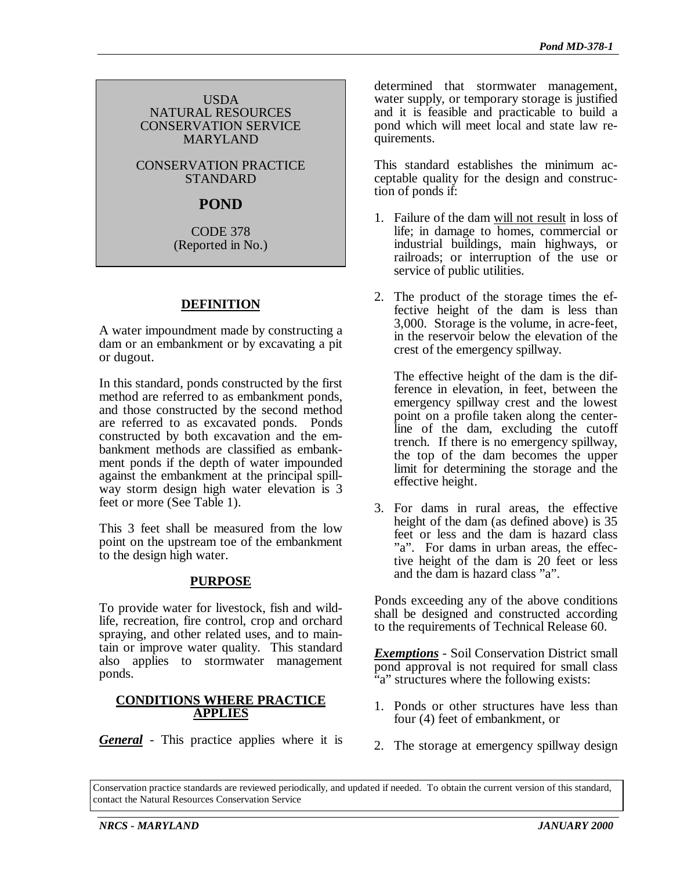#### USDA NATURAL RESOURCES CONSERVATION SERVICE MARYLAND

CONSERVATION PRACTICE STANDARD

# **POND**

CODE 378 (Reported in No.)

# **DEFINITION**

A water impoundment made by constructing a dam or an embankment or by excavating a pit or dugout.

In this standard, ponds constructed by the first method are referred to as embankment ponds, and those constructed by the second method are referred to as excavated ponds. Ponds constructed by both excavation and the embankment methods are classified as embankment ponds if the depth of water impounded against the embankment at the principal spillway storm design high water elevation is 3 feet or more (See Table 1).

This 3 feet shall be measured from the low point on the upstream toe of the embankment to the design high water.

### **PURPOSE**

To provide water for livestock, fish and wildlife, recreation, fire control, crop and orchard spraying, and other related uses, and to maintain or improve water quality. This standard also applies to stormwater management ponds.

#### **CONDITIONS WHERE PRACTICE APPLIES**

*General* - This practice applies where it is

determined that stormwater management, water supply, or temporary storage is justified and it is feasible and practicable to build a pond which will meet local and state law requirements.

This standard establishes the minimum acceptable quality for the design and construction of ponds if:

- 1. Failure of the dam will not result in loss of life; in damage to homes, commercial or industrial buildings, main highways, or railroads; or interruption of the use or service of public utilities.
- 2. The product of the storage times the effective height of the dam is less than 3,000. Storage is the volume, in acre-feet, in the reservoir below the elevation of the crest of the emergency spillway.

The effective height of the dam is the difference in elevation, in feet, between the emergency spillway crest and the lowest point on a profile taken along the centerline of the dam, excluding the cutoff trench. If there is no emergency spillway, the top of the dam becomes the upper limit for determining the storage and the effective height.

3. For dams in rural areas, the effective height of the dam (as defined above) is 35 feet or less and the dam is hazard class "a". For dams in urban areas, the effective height of the dam is 20 feet or less and the dam is hazard class "a".

Ponds exceeding any of the above conditions shall be designed and constructed according to the requirements of Technical Release 60.

*Exemptions* - Soil Conservation District small pond approval is not required for small class "a" structures where the following exists:

- 1. Ponds or other structures have less than four (4) feet of embankment, or
- 2. The storage at emergency spillway design

Conservation practice standards are reviewed periodically, and updated if needed. To obtain the current version of this standard, contact the Natural Resources Conservation Service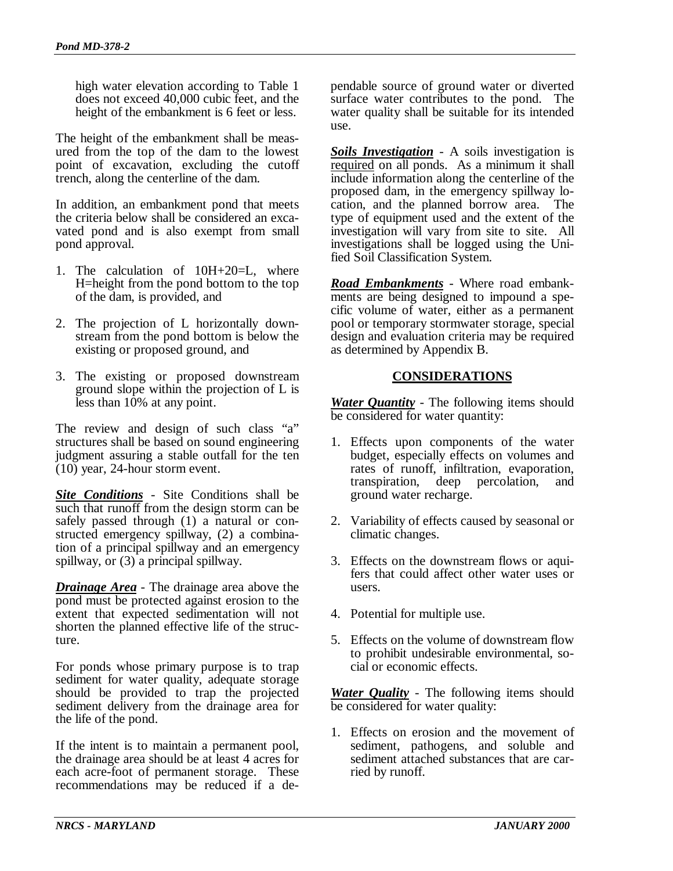high water elevation according to Table 1 does not exceed 40,000 cubic feet, and the height of the embankment is 6 feet or less.

The height of the embankment shall be measured from the top of the dam to the lowest point of excavation, excluding the cutoff trench, along the centerline of the dam.

In addition, an embankment pond that meets the criteria below shall be considered an excavated pond and is also exempt from small pond approval.

- 1. The calculation of 10H+20=L, where H=height from the pond bottom to the top of the dam, is provided, and
- 2. The projection of L horizontally downstream from the pond bottom is below the existing or proposed ground, and
- 3. The existing or proposed downstream ground slope within the projection of L is less than 10% at any point.

The review and design of such class "a" structures shall be based on sound engineering judgment assuring a stable outfall for the ten (10) year, 24-hour storm event.

*Site Conditions* - Site Conditions shall be such that runoff from the design storm can be safely passed through (1) a natural or constructed emergency spillway, (2) a combination of a principal spillway and an emergency spillway, or  $(3)$  a principal spillway.

*Drainage Area* - The drainage area above the pond must be protected against erosion to the extent that expected sedimentation will not shorten the planned effective life of the structure.

For ponds whose primary purpose is to trap sediment for water quality, adequate storage should be provided to trap the projected sediment delivery from the drainage area for the life of the pond.

If the intent is to maintain a permanent pool, the drainage area should be at least 4 acres for each acre-foot of permanent storage. These recommendations may be reduced if a dependable source of ground water or diverted surface water contributes to the pond. The water quality shall be suitable for its intended use.

*Soils Investigation* - A soils investigation is required on all ponds. As a minimum it shall include information along the centerline of the proposed dam, in the emergency spillway location, and the planned borrow area. The type of equipment used and the extent of the investigation will vary from site to site. All investigations shall be logged using the Unified Soil Classification System.

*Road Embankments* - Where road embankments are being designed to impound a specific volume of water, either as a permanent pool or temporary stormwater storage, special design and evaluation criteria may be required as determined by Appendix B.

### **CONSIDERATIONS**

*Water Quantity* - The following items should be considered for water quantity:

- 1. Effects upon components of the water budget, especially effects on volumes and rates of runoff, infiltration, evaporation, transpiration, deep percolation, and ground water recharge.
- 2. Variability of effects caused by seasonal or climatic changes.
- 3. Effects on the downstream flows or aquifers that could affect other water uses or users.
- 4. Potential for multiple use.
- 5. Effects on the volume of downstream flow to prohibit undesirable environmental, social or economic effects.

*Water Quality* - The following items should be considered for water quality:

1. Effects on erosion and the movement of sediment, pathogens, and soluble and sediment attached substances that are carried by runoff.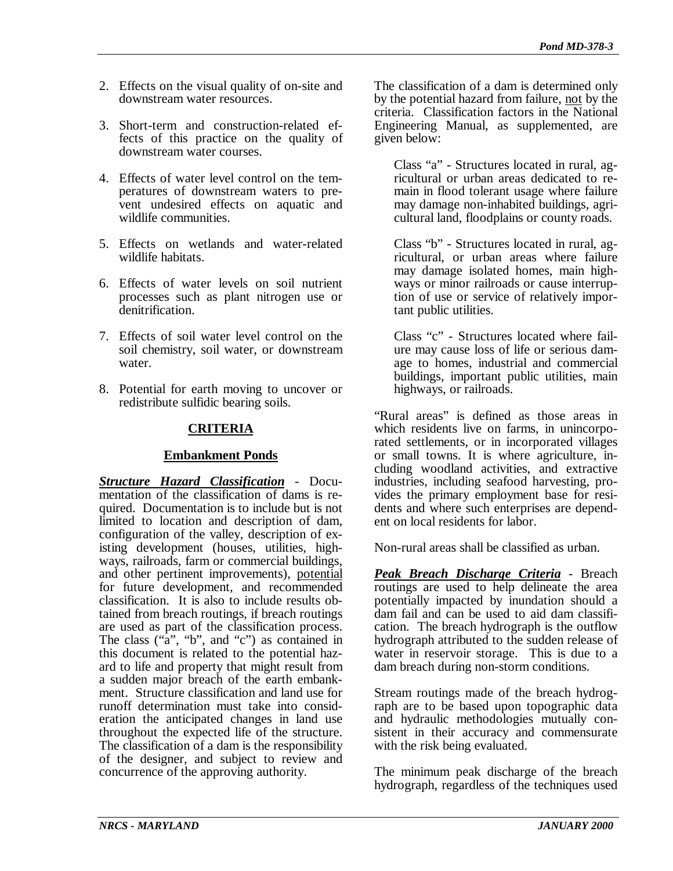- 2. Effects on the visual quality of on-site and downstream water resources.
- 3. Short-term and construction-related effects of this practice on the quality of downstream water courses.
- 4. Effects of water level control on the temperatures of downstream waters to prevent undesired effects on aquatic and wildlife communities.
- 5. Effects on wetlands and water-related wildlife habitats.
- 6. Effects of water levels on soil nutrient processes such as plant nitrogen use or denitrification.
- 7. Effects of soil water level control on the soil chemistry, soil water, or downstream water.
- 8. Potential for earth moving to uncover or redistribute sulfidic bearing soils.

### **CRITERIA**

### **Embankment Ponds**

*Structure Hazard Classification* - Documentation of the classification of dams is required. Documentation is to include but is not limited to location and description of dam, configuration of the valley, description of existing development (houses, utilities, highways, railroads, farm or commercial buildings, and other pertinent improvements), potential for future development, and recommended classification. It is also to include results obtained from breach routings, if breach routings are used as part of the classification process. The class ("a", "b", and "c") as contained in this document is related to the potential hazard to life and property that might result from a sudden major breach of the earth embankment. Structure classification and land use for runoff determination must take into consideration the anticipated changes in land use throughout the expected life of the structure. The classification of a dam is the responsibility of the designer, and subject to review and concurrence of the approving authority.

The classification of a dam is determined only by the potential hazard from failure, not by the criteria. Classification factors in the National Engineering Manual, as supplemented, are given below:

Class "a" - Structures located in rural, agricultural or urban areas dedicated to remain in flood tolerant usage where failure may damage non-inhabited buildings, agricultural land, floodplains or county roads.

Class "b" - Structures located in rural, agricultural, or urban areas where failure may damage isolated homes, main highways or minor railroads or cause interruption of use or service of relatively important public utilities.

Class "c" - Structures located where failure may cause loss of life or serious damage to homes, industrial and commercial buildings, important public utilities, main highways, or railroads.

"Rural areas" is defined as those areas in which residents live on farms, in unincorporated settlements, or in incorporated villages or small towns. It is where agriculture, including woodland activities, and extractive industries, including seafood harvesting, provides the primary employment base for residents and where such enterprises are dependent on local residents for labor.

Non-rural areas shall be classified as urban.

*Peak Breach Discharge Criteria* - Breach routings are used to help delineate the area potentially impacted by inundation should a dam fail and can be used to aid dam classification. The breach hydrograph is the outflow hydrograph attributed to the sudden release of water in reservoir storage. This is due to a dam breach during non-storm conditions.

Stream routings made of the breach hydrograph are to be based upon topographic data and hydraulic methodologies mutually consistent in their accuracy and commensurate with the risk being evaluated.

The minimum peak discharge of the breach hydrograph, regardless of the techniques used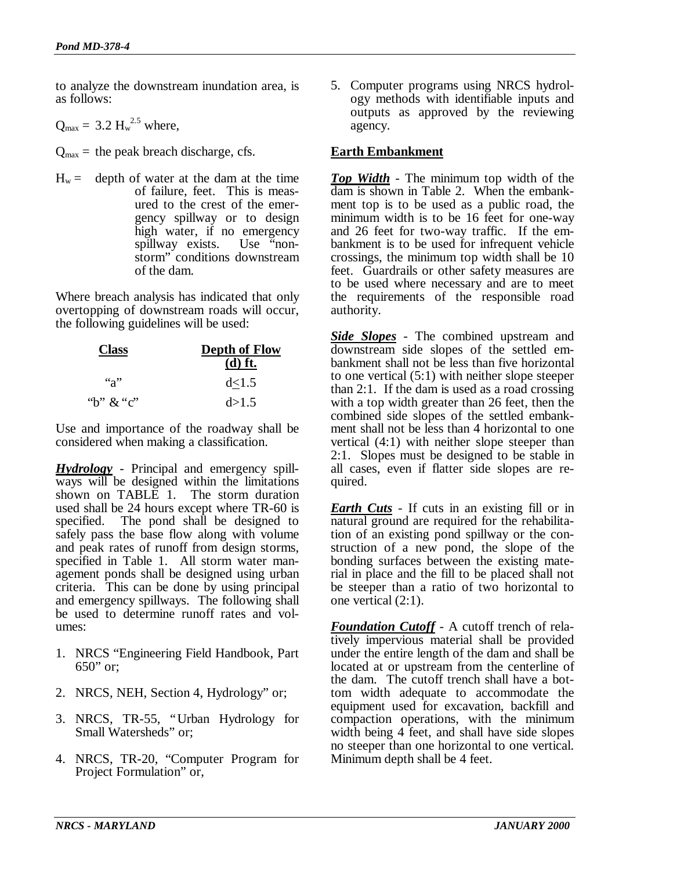to analyze the downstream inundation area, is as follows:

$$
Q_{\text{max}} = 3.2 \text{ H}_{\text{w}}^{2.5} \text{ where,}
$$

 $Q_{\text{max}}$  = the peak breach discharge, cfs.

 $H_w =$  depth of water at the dam at the time of failure, feet. This is measured to the crest of the emergency spillway or to design high water, if no emergency spillway exists. Use "nonstorm" conditions downstream of the dam.

Where breach analysis has indicated that only overtopping of downstream roads will occur, the following guidelines will be used:

| <b>Class</b> | <b>Depth of Flow</b><br>$(d)$ ft. |
|--------------|-----------------------------------|
| $a^3$        | d<1.5                             |
| "b" $\&$ "c" | d > 1.5                           |

Use and importance of the roadway shall be considered when making a classification.

*Hydrology* - Principal and emergency spillways will be designed within the limitations shown on TABLE 1. The storm duration used shall be 24 hours except where TR-60 is specified. The pond shall be designed to safely pass the base flow along with volume and peak rates of runoff from design storms, specified in Table 1. All storm water management ponds shall be designed using urban criteria. This can be done by using principal and emergency spillways. The following shall be used to determine runoff rates and volumes:

- 1. NRCS "Engineering Field Handbook, Part 650" or;
- 2. NRCS, NEH, Section 4, Hydrology" or;
- 3. NRCS, TR-55, "Urban Hydrology for Small Watersheds" or;
- 4. NRCS, TR-20, "Computer Program for Project Formulation" or,

5. Computer programs using NRCS hydrology methods with identifiable inputs and outputs as approved by the reviewing agency.

### **Earth Embankment**

*Top Width* - The minimum top width of the dam is shown in Table 2. When the embankment top is to be used as a public road, the minimum width is to be 16 feet for one-way and 26 feet for two-way traffic. If the embankment is to be used for infrequent vehicle crossings, the minimum top width shall be 10 feet. Guardrails or other safety measures are to be used where necessary and are to meet the requirements of the responsible road authority.

*Side Slopes* - The combined upstream and downstream side slopes of the settled embankment shall not be less than five horizontal to one vertical (5:1) with neither slope steeper than 2:1. If the dam is used as a road crossing with a top width greater than 26 feet, then the combined side slopes of the settled embankment shall not be less than 4 horizontal to one vertical (4:1) with neither slope steeper than 2:1. Slopes must be designed to be stable in all cases, even if flatter side slopes are required.

*Earth Cuts* - If cuts in an existing fill or in natural ground are required for the rehabilitation of an existing pond spillway or the construction of a new pond, the slope of the bonding surfaces between the existing material in place and the fill to be placed shall not be steeper than a ratio of two horizontal to one vertical (2:1).

*Foundation Cutoff* - A cutoff trench of relatively impervious material shall be provided under the entire length of the dam and shall be located at or upstream from the centerline of the dam. The cutoff trench shall have a bottom width adequate to accommodate the equipment used for excavation, backfill and compaction operations, with the minimum width being 4 feet, and shall have side slopes no steeper than one horizontal to one vertical. Minimum depth shall be 4 feet.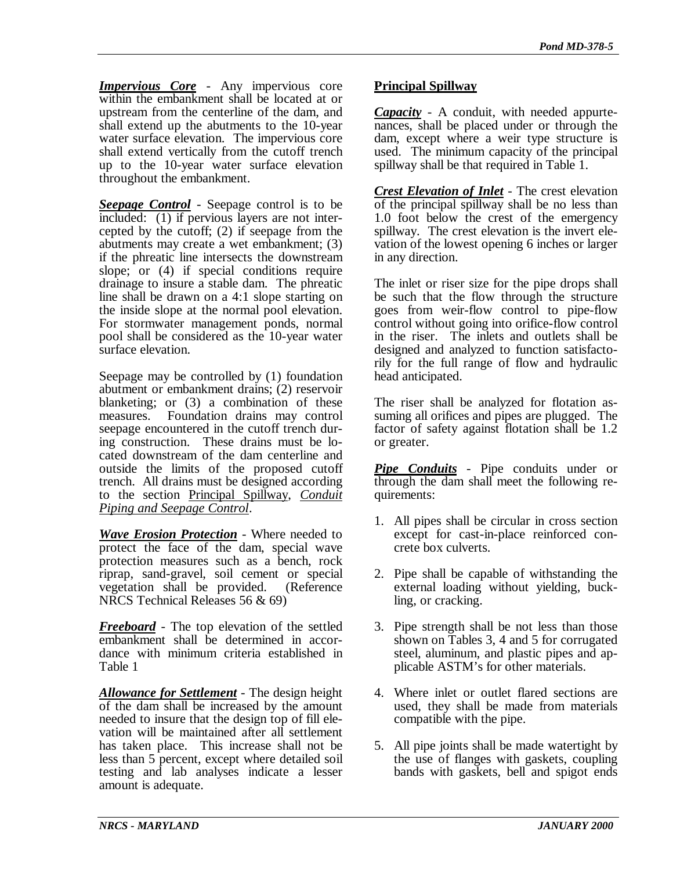*Impervious Core* - Any impervious core within the embankment shall be located at or upstream from the centerline of the dam, and shall extend up the abutments to the 10-year water surface elevation. The impervious core shall extend vertically from the cutoff trench up to the 10-year water surface elevation throughout the embankment.

*Seepage Control* - Seepage control is to be included: (1) if pervious layers are not intercepted by the cutoff; (2) if seepage from the abutments may create a wet embankment; (3) if the phreatic line intersects the downstream slope; or (4) if special conditions require drainage to insure a stable dam. The phreatic line shall be drawn on a 4:1 slope starting on the inside slope at the normal pool elevation. For stormwater management ponds, normal pool shall be considered as the 10-year water surface elevation.

Seepage may be controlled by (1) foundation abutment or embankment drains; (2) reservoir blanketing; or (3) a combination of these measures. Foundation drains may control seepage encountered in the cutoff trench during construction. These drains must be located downstream of the dam centerline and outside the limits of the proposed cutoff trench. All drains must be designed according to the section Principal Spillway, *Conduit Piping and Seepage Control*.

*Wave Erosion Protection* - Where needed to protect the face of the dam, special wave protection measures such as a bench, rock riprap, sand-gravel, soil cement or special vegetation shall be provided. (Reference NRCS Technical Releases 56 & 69)

*Freeboard* - The top elevation of the settled embankment shall be determined in accordance with minimum criteria established in Table 1

*Allowance for Settlement* - The design height of the dam shall be increased by the amount needed to insure that the design top of fill elevation will be maintained after all settlement has taken place. This increase shall not be less than 5 percent, except where detailed soil testing and lab analyses indicate a lesser amount is adequate.

# **Principal Spillway**

*Capacity* - A conduit, with needed appurtenances, shall be placed under or through the dam, except where a weir type structure is used. The minimum capacity of the principal spillway shall be that required in Table 1.

*Crest Elevation of Inlet* - The crest elevation of the principal spillway shall be no less than 1.0 foot below the crest of the emergency spillway. The crest elevation is the invert elevation of the lowest opening 6 inches or larger in any direction.

The inlet or riser size for the pipe drops shall be such that the flow through the structure goes from weir-flow control to pipe-flow control without going into orifice-flow control in the riser. The inlets and outlets shall be designed and analyzed to function satisfactorily for the full range of flow and hydraulic head anticipated.

The riser shall be analyzed for flotation assuming all orifices and pipes are plugged. The factor of safety against flotation shall be 1.2 or greater.

*Pipe Conduits* - Pipe conduits under or through the dam shall meet the following requirements:

- 1. All pipes shall be circular in cross section except for cast-in-place reinforced concrete box culverts.
- 2. Pipe shall be capable of withstanding the external loading without yielding, buckling, or cracking.
- 3. Pipe strength shall be not less than those shown on Tables 3, 4 and 5 for corrugated steel, aluminum, and plastic pipes and applicable ASTM's for other materials.
- 4. Where inlet or outlet flared sections are used, they shall be made from materials compatible with the pipe.
- 5. All pipe joints shall be made watertight by the use of flanges with gaskets, coupling bands with gaskets, bell and spigot ends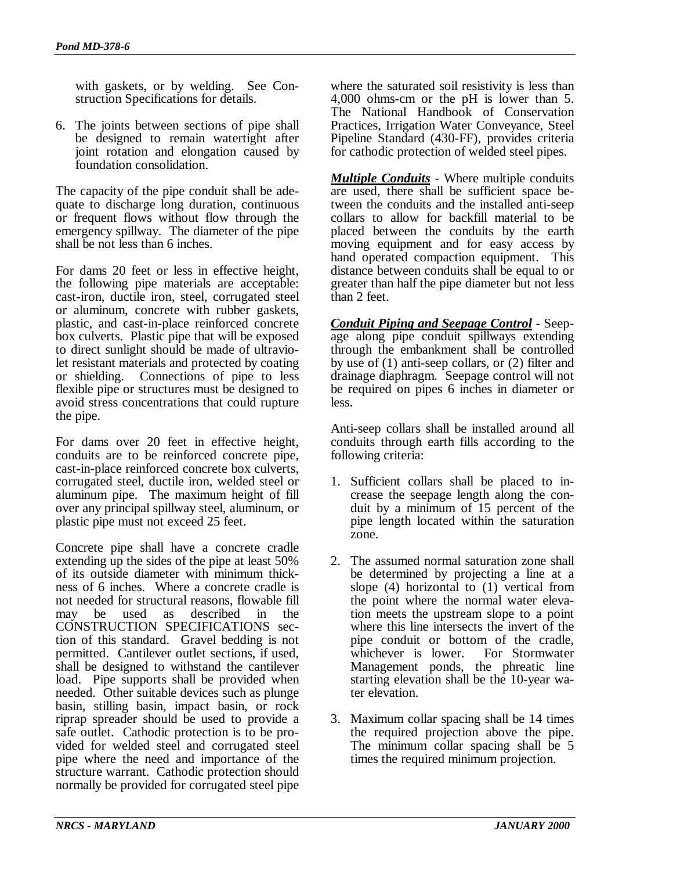with gaskets, or by welding. See Construction Specifications for details.

6. The joints between sections of pipe shall be designed to remain watertight after joint rotation and elongation caused by foundation consolidation.

The capacity of the pipe conduit shall be adequate to discharge long duration, continuous or frequent flows without flow through the emergency spillway. The diameter of the pipe shall be not less than 6 inches.

For dams 20 feet or less in effective height, the following pipe materials are acceptable: cast-iron, ductile iron, steel, corrugated steel or aluminum, concrete with rubber gaskets, plastic, and cast-in-place reinforced concrete box culverts. Plastic pipe that will be exposed to direct sunlight should be made of ultraviolet resistant materials and protected by coating or shielding. Connections of pipe to less flexible pipe or structures must be designed to avoid stress concentrations that could rupture the pipe.

For dams over 20 feet in effective height, conduits are to be reinforced concrete pipe, cast-in-place reinforced concrete box culverts, corrugated steel, ductile iron, welded steel or aluminum pipe. The maximum height of fill over any principal spillway steel, aluminum, or plastic pipe must not exceed 25 feet.

Concrete pipe shall have a concrete cradle extending up the sides of the pipe at least 50% of its outside diameter with minimum thickness of 6 inches. Where a concrete cradle is not needed for structural reasons, flowable fill may be used as described in the CONSTRUCTION SPECIFICATIONS section of this standard. Gravel bedding is not permitted. Cantilever outlet sections, if used, shall be designed to withstand the cantilever load. Pipe supports shall be provided when needed. Other suitable devices such as plunge basin, stilling basin, impact basin, or rock riprap spreader should be used to provide a safe outlet. Cathodic protection is to be provided for welded steel and corrugated steel pipe where the need and importance of the structure warrant. Cathodic protection should normally be provided for corrugated steel pipe where the saturated soil resistivity is less than 4,000 ohms-cm or the pH is lower than 5. The National Handbook of Conservation Practices, Irrigation Water Conveyance, Steel Pipeline Standard (430-FF), provides criteria for cathodic protection of welded steel pipes.

*Multiple Conduits* - Where multiple conduits are used, there shall be sufficient space between the conduits and the installed anti-seep collars to allow for backfill material to be placed between the conduits by the earth moving equipment and for easy access by hand operated compaction equipment. This distance between conduits shall be equal to or greater than half the pipe diameter but not less than 2 feet.

*Conduit Piping and Seepage Control* - Seepage along pipe conduit spillways extending through the embankment shall be controlled by use of (1) anti-seep collars, or (2) filter and drainage diaphragm. Seepage control will not be required on pipes 6 inches in diameter or less.

Anti-seep collars shall be installed around all conduits through earth fills according to the following criteria:

- 1. Sufficient collars shall be placed to increase the seepage length along the conduit by a minimum of 15 percent of the pipe length located within the saturation zone.
- 2. The assumed normal saturation zone shall be determined by projecting a line at a slope (4) horizontal to (1) vertical from the point where the normal water elevation meets the upstream slope to a point where this line intersects the invert of the pipe conduit or bottom of the cradle, whichever is lower. For Stormwater Management ponds, the phreatic line starting elevation shall be the 10-year water elevation.
- 3. Maximum collar spacing shall be 14 times the required projection above the pipe. The minimum collar spacing shall be 5 times the required minimum projection.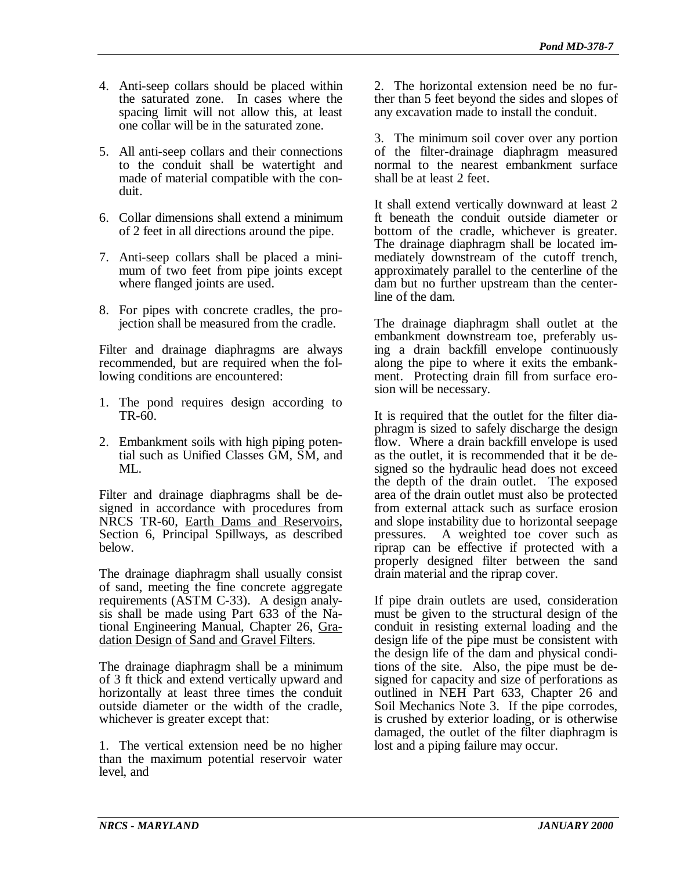- 4. Anti-seep collars should be placed within the saturated zone. In cases where the spacing limit will not allow this, at least one collar will be in the saturated zone.
- 5. All anti-seep collars and their connections to the conduit shall be watertight and made of material compatible with the conduit.
- 6. Collar dimensions shall extend a minimum of 2 feet in all directions around the pipe.
- 7. Anti-seep collars shall be placed a minimum of two feet from pipe joints except where flanged joints are used.
- 8. For pipes with concrete cradles, the projection shall be measured from the cradle.

Filter and drainage diaphragms are always recommended, but are required when the following conditions are encountered:

- 1. The pond requires design according to TR-60.
- 2. Embankment soils with high piping potential such as Unified Classes GM, SM, and  $MI_{\odot}$

Filter and drainage diaphragms shall be designed in accordance with procedures from NRCS TR-60, Earth Dams and Reservoirs, Section 6, Principal Spillways, as described below.

The drainage diaphragm shall usually consist of sand, meeting the fine concrete aggregate requirements (ASTM C-33). A design analysis shall be made using Part 633 of the National Engineering Manual, Chapter 26, Gradation Design of Sand and Gravel Filters.

The drainage diaphragm shall be a minimum of 3 ft thick and extend vertically upward and horizontally at least three times the conduit outside diameter or the width of the cradle, whichever is greater except that:

1. The vertical extension need be no higher than the maximum potential reservoir water level, and

2. The horizontal extension need be no further than 5 feet beyond the sides and slopes of any excavation made to install the conduit.

3. The minimum soil cover over any portion of the filter-drainage diaphragm measured normal to the nearest embankment surface shall be at least 2 feet.

It shall extend vertically downward at least 2 ft beneath the conduit outside diameter or bottom of the cradle, whichever is greater. The drainage diaphragm shall be located immediately downstream of the cutoff trench, approximately parallel to the centerline of the dam but no further upstream than the centerline of the dam.

The drainage diaphragm shall outlet at the embankment downstream toe, preferably using a drain backfill envelope continuously along the pipe to where it exits the embankment. Protecting drain fill from surface erosion will be necessary.

It is required that the outlet for the filter diaphragm is sized to safely discharge the design flow. Where a drain backfill envelope is used as the outlet, it is recommended that it be designed so the hydraulic head does not exceed the depth of the drain outlet. The exposed area of the drain outlet must also be protected from external attack such as surface erosion and slope instability due to horizontal seepage pressures. A weighted toe cover such as riprap can be effective if protected with a properly designed filter between the sand drain material and the riprap cover.

If pipe drain outlets are used, consideration must be given to the structural design of the conduit in resisting external loading and the design life of the pipe must be consistent with the design life of the dam and physical conditions of the site. Also, the pipe must be designed for capacity and size of perforations as outlined in NEH Part 633, Chapter 26 and Soil Mechanics Note 3. If the pipe corrodes, is crushed by exterior loading, or is otherwise damaged, the outlet of the filter diaphragm is lost and a piping failure may occur.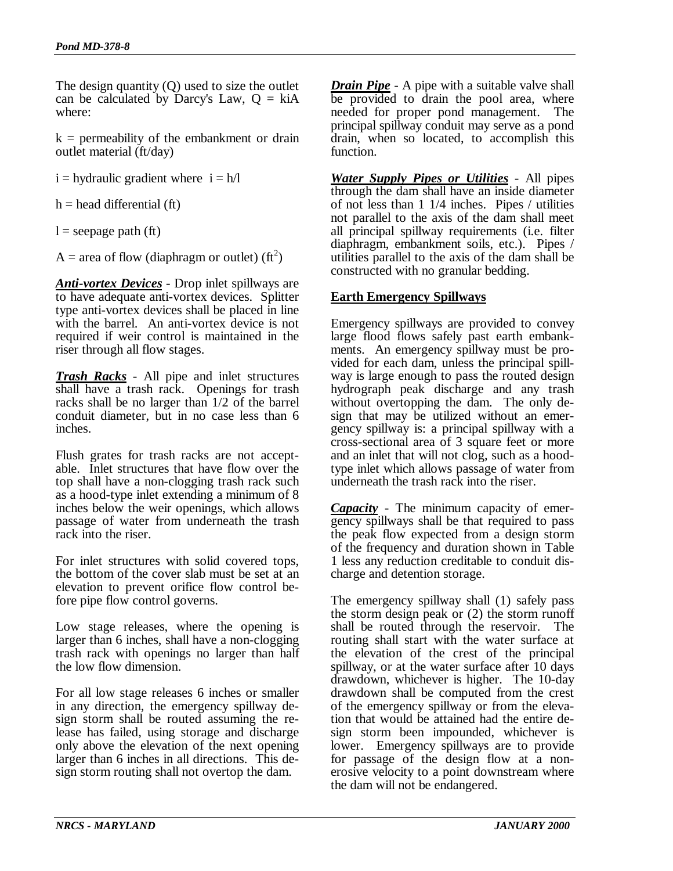The design quantity (Q) used to size the outlet can be calculated by Darcy's Law,  $Q = k\hat{i}A$ where:

 $k =$  permeability of the embankment or drain outlet material (ft/day)

 $i =$  hydraulic gradient where  $i = h/l$ 

 $h =$  head differential (ft)

 $l =$  seepage path (ft)

A = area of flow (diaphragm or outlet) (ft<sup>2</sup>)

*Anti-vortex Devices* - Drop inlet spillways are to have adequate anti-vortex devices. Splitter type anti-vortex devices shall be placed in line with the barrel. An anti-vortex device is not required if weir control is maintained in the riser through all flow stages.

*Trash Racks* - All pipe and inlet structures shall have a trash rack. Openings for trash racks shall be no larger than 1/2 of the barrel conduit diameter, but in no case less than 6 inches.

Flush grates for trash racks are not acceptable. Inlet structures that have flow over the top shall have a non-clogging trash rack such as a hood-type inlet extending a minimum of 8 inches below the weir openings, which allows passage of water from underneath the trash rack into the riser.

For inlet structures with solid covered tops, the bottom of the cover slab must be set at an elevation to prevent orifice flow control before pipe flow control governs.

Low stage releases, where the opening is larger than 6 inches, shall have a non-clogging trash rack with openings no larger than half the low flow dimension.

For all low stage releases 6 inches or smaller in any direction, the emergency spillway design storm shall be routed assuming the release has failed, using storage and discharge only above the elevation of the next opening larger than 6 inches in all directions. This design storm routing shall not overtop the dam.

*Drain Pipe* - A pipe with a suitable valve shall be provided to drain the pool area, where needed for proper pond management. The principal spillway conduit may serve as a pond drain, when so located, to accomplish this function.

*Water Supply Pipes or Utilities* - All pipes through the dam shall have an inside diameter of not less than 1 1/4 inches. Pipes / utilities not parallel to the axis of the dam shall meet all principal spillway requirements (i.e. filter diaphragm, embankment soils, etc.). Pipes / utilities parallel to the axis of the dam shall be constructed with no granular bedding.

### **Earth Emergency Spillways**

Emergency spillways are provided to convey large flood flows safely past earth embankments. An emergency spillway must be provided for each dam, unless the principal spillway is large enough to pass the routed design hydrograph peak discharge and any trash without overtopping the dam. The only design that may be utilized without an emergency spillway is: a principal spillway with a cross-sectional area of 3 square feet or more and an inlet that will not clog, such as a hoodtype inlet which allows passage of water from underneath the trash rack into the riser.

*Capacity* - The minimum capacity of emergency spillways shall be that required to pass the peak flow expected from a design storm of the frequency and duration shown in Table 1 less any reduction creditable to conduit discharge and detention storage.

The emergency spillway shall (1) safely pass the storm design peak or (2) the storm runoff shall be routed through the reservoir. The routing shall start with the water surface at the elevation of the crest of the principal spillway, or at the water surface after 10 days drawdown, whichever is higher. The 10-day drawdown shall be computed from the crest of the emergency spillway or from the elevation that would be attained had the entire design storm been impounded, whichever is lower. Emergency spillways are to provide for passage of the design flow at a nonerosive velocity to a point downstream where the dam will not be endangered.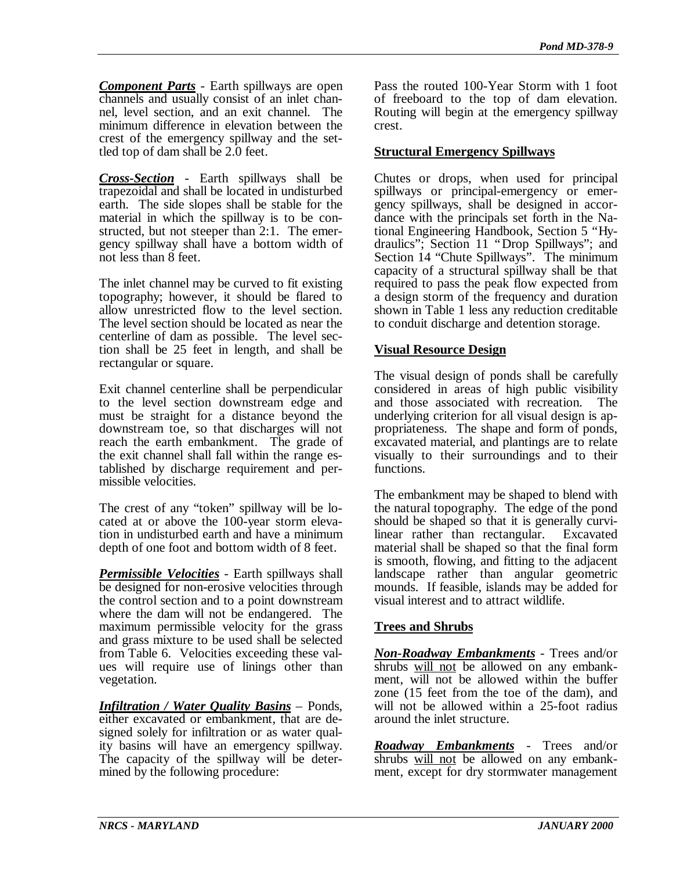*Component Parts* - Earth spillways are open channels and usually consist of an inlet channel, level section, and an exit channel. The minimum difference in elevation between the crest of the emergency spillway and the settled top of dam shall be 2.0 feet.

*Cross-Section* - Earth spillways shall be trapezoidal and shall be located in undisturbed earth. The side slopes shall be stable for the material in which the spillway is to be constructed, but not steeper than 2:1. The emergency spillway shall have a bottom width of not less than 8 feet.

The inlet channel may be curved to fit existing topography; however, it should be flared to allow unrestricted flow to the level section. The level section should be located as near the centerline of dam as possible. The level section shall be 25 feet in length, and shall be rectangular or square.

Exit channel centerline shall be perpendicular to the level section downstream edge and must be straight for a distance beyond the downstream toe, so that discharges will not reach the earth embankment. The grade of the exit channel shall fall within the range established by discharge requirement and permissible velocities.

The crest of any "token" spillway will be located at or above the 100-year storm elevation in undisturbed earth and have a minimum depth of one foot and bottom width of 8 feet.

*Permissible Velocities* - Earth spillways shall be designed for non-erosive velocities through the control section and to a point downstream where the dam will not be endangered. The maximum permissible velocity for the grass and grass mixture to be used shall be selected from Table 6. Velocities exceeding these values will require use of linings other than vegetation.

*Infiltration / Water Quality Basins* – Ponds, either excavated or embankment, that are designed solely for infiltration or as water quality basins will have an emergency spillway. The capacity of the spillway will be determined by the following procedure:

Pass the routed 100-Year Storm with 1 foot of freeboard to the top of dam elevation. Routing will begin at the emergency spillway crest.

## **Structural Emergency Spillways**

Chutes or drops, when used for principal spillways or principal-emergency or emergency spillways, shall be designed in accordance with the principals set forth in the National Engineering Handbook, Section 5 "Hydraulics"; Section 11 "Drop Spillways"; and Section 14 "Chute Spillways". The minimum capacity of a structural spillway shall be that required to pass the peak flow expected from a design storm of the frequency and duration shown in Table 1 less any reduction creditable to conduit discharge and detention storage.

## **Visual Resource Design**

The visual design of ponds shall be carefully considered in areas of high public visibility and those associated with recreation. The underlying criterion for all visual design is appropriateness. The shape and form of ponds, excavated material, and plantings are to relate visually to their surroundings and to their functions.

The embankment may be shaped to blend with the natural topography. The edge of the pond should be shaped so that it is generally curvilinear rather than rectangular. Excavated material shall be shaped so that the final form is smooth, flowing, and fitting to the adjacent landscape rather than angular geometric mounds. If feasible, islands may be added for visual interest and to attract wildlife.

# **Trees and Shrubs**

*Non-Roadway Embankments* - Trees and/or shrubs will not be allowed on any embankment, will not be allowed within the buffer zone (15 feet from the toe of the dam), and will not be allowed within a 25-foot radius around the inlet structure.

*Roadway Embankments* - Trees and/or shrubs will not be allowed on any embankment, except for dry stormwater management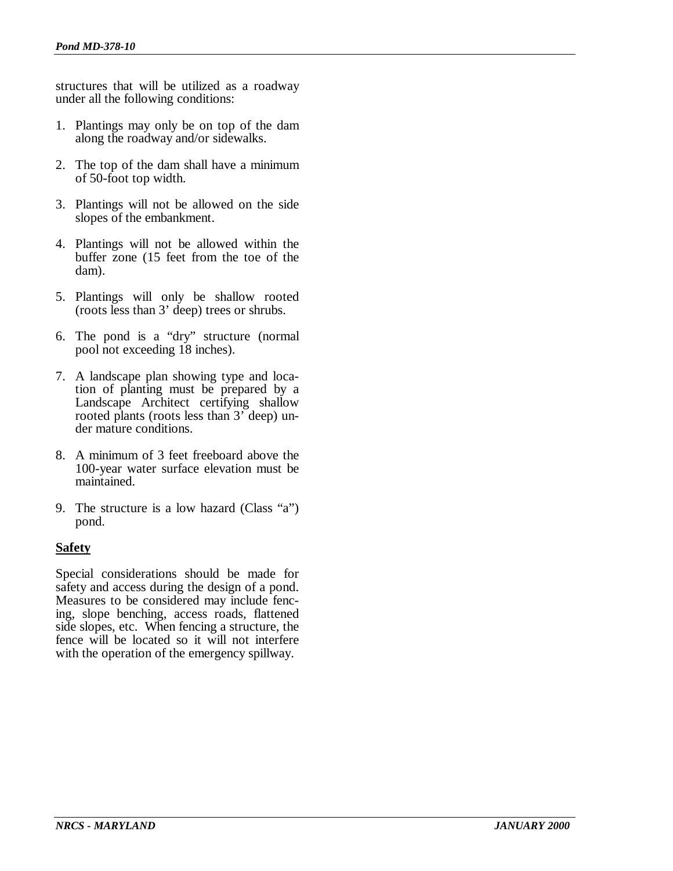structures that will be utilized as a roadway under all the following conditions:

- 1. Plantings may only be on top of the dam along the roadway and/or sidewalks.
- 2. The top of the dam shall have a minimum of 50-foot top width.
- 3. Plantings will not be allowed on the side slopes of the embankment.
- 4. Plantings will not be allowed within the buffer zone (15 feet from the toe of the dam).
- 5. Plantings will only be shallow rooted (roots less than 3' deep) trees or shrubs.
- 6. The pond is a "dry" structure (normal pool not exceeding 18 inches).
- 7. A landscape plan showing type and location of planting must be prepared by a Landscape Architect certifying shallow rooted plants (roots less than 3' deep) under mature conditions.
- 8. A minimum of 3 feet freeboard above the 100-year water surface elevation must be maintained.
- 9. The structure is a low hazard (Class "a") pond.

### **Safety**

Special considerations should be made for safety and access during the design of a pond. Measures to be considered may include fencing, slope benching, access roads, flattened side slopes, etc. When fencing a structure, the fence will be located so it will not interfere with the operation of the emergency spillway.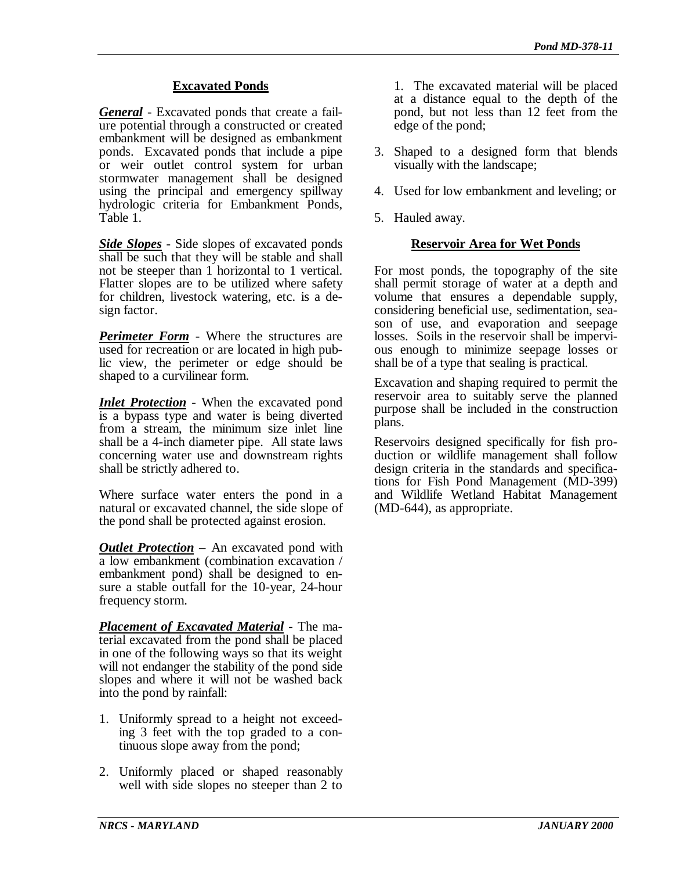### **Excavated Ponds**

*General* - Excavated ponds that create a failure potential through a constructed or created embankment will be designed as embankment ponds. Excavated ponds that include a pipe or weir outlet control system for urban stormwater management shall be designed using the principal and emergency spillway hydrologic criteria for Embankment Ponds, Table 1.

*Side Slopes* - Side slopes of excavated ponds shall be such that they will be stable and shall not be steeper than 1 horizontal to 1 vertical. Flatter slopes are to be utilized where safety for children, livestock watering, etc. is a design factor.

*Perimeter Form* - Where the structures are used for recreation or are located in high public view, the perimeter or edge should be shaped to a curvilinear form.

*Inlet Protection* - When the excavated pond is a bypass type and water is being diverted from a stream, the minimum size inlet line shall be a 4-inch diameter pipe. All state laws concerning water use and downstream rights shall be strictly adhered to.

Where surface water enters the pond in a natural or excavated channel, the side slope of the pond shall be protected against erosion.

*Outlet Protection* – An excavated pond with a low embankment (combination excavation / embankment pond) shall be designed to ensure a stable outfall for the 10-year, 24-hour frequency storm.

*Placement of Excavated Material* - The material excavated from the pond shall be placed in one of the following ways so that its weight will not endanger the stability of the pond side slopes and where it will not be washed back into the pond by rainfall:

- 1. Uniformly spread to a height not exceeding 3 feet with the top graded to a continuous slope away from the pond;
- 2. Uniformly placed or shaped reasonably well with side slopes no steeper than 2 to

1. The excavated material will be placed at a distance equal to the depth of the pond, but not less than 12 feet from the edge of the pond;

- 3. Shaped to a designed form that blends visually with the landscape;
- 4. Used for low embankment and leveling; or
- 5. Hauled away.

### **Reservoir Area for Wet Ponds**

For most ponds, the topography of the site shall permit storage of water at a depth and volume that ensures a dependable supply, considering beneficial use, sedimentation, season of use, and evaporation and seepage losses. Soils in the reservoir shall be impervious enough to minimize seepage losses or shall be of a type that sealing is practical.

Excavation and shaping required to permit the reservoir area to suitably serve the planned purpose shall be included in the construction plans.

Reservoirs designed specifically for fish production or wildlife management shall follow design criteria in the standards and specifications for Fish Pond Management (MD-399) and Wildlife Wetland Habitat Management (MD-644), as appropriate.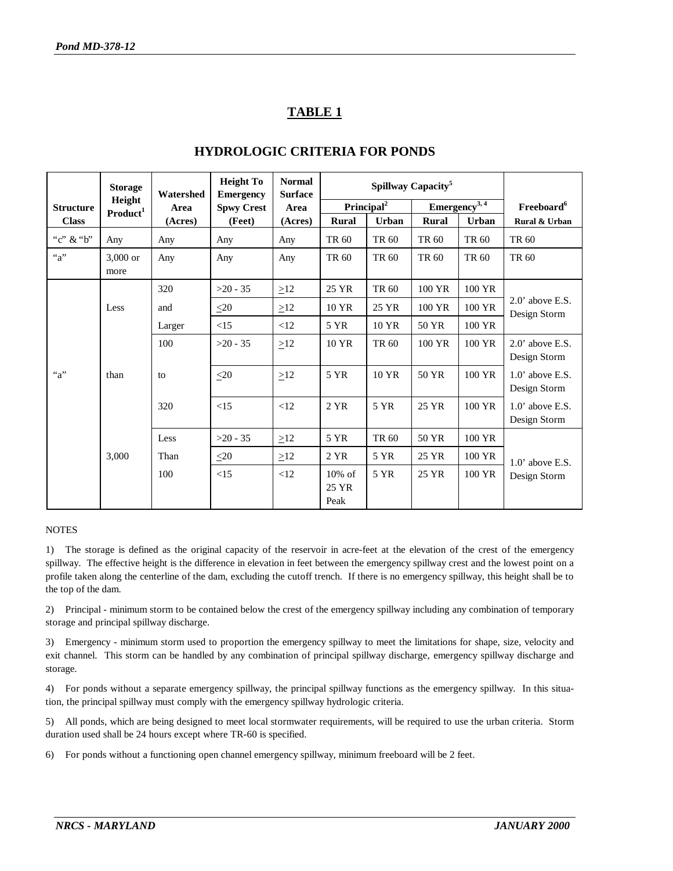# **TABLE 1**

|                    | <b>Storage</b>                 | Watershed | <b>Height To</b><br><b>Emergency</b> | <b>Normal</b><br><b>Surface</b> | Spillway Capacity <sup>5</sup> |                        |                              |                   |                                    |
|--------------------|--------------------------------|-----------|--------------------------------------|---------------------------------|--------------------------------|------------------------|------------------------------|-------------------|------------------------------------|
| <b>Structure</b>   | Height<br>Product <sup>1</sup> | Area      | <b>Spwy Crest</b>                    | Area                            |                                | Principal <sup>2</sup> |                              | $Emergency^{3,4}$ | Freeboard <sup>6</sup>             |
| <b>Class</b>       |                                | (Acres)   | (Feet)                               | (Acres)                         | Rural                          | <b>Urban</b>           | <b>Rural</b><br><b>Urban</b> |                   | Rural & Urban                      |
| "c" & "b"          | Any                            | Any       | Any                                  | Any                             | TR 60                          | TR 60                  | TR 60                        | TR 60             | TR 60                              |
| ``a"               | $3,000$ or<br>more             | Any       | Any                                  | Any                             | TR 60                          | TR 60                  | TR 60                        | TR 60             | TR 60                              |
|                    |                                | 320       | $>20 - 35$                           | $\geq$ 12                       | 25 YR                          | TR 60                  | 100 YR                       | 100 YR            |                                    |
|                    | Less                           | and       | $\leq 20$                            | $\geq$ 12                       | 10 YR                          | 25 YR                  | 100 YR                       | 100 YR            | $2.0$ ' above E.S.<br>Design Storm |
|                    |                                | Larger    | <15                                  | <12                             | 5 YR                           | 10 YR                  | 50 YR                        | 100 YR            |                                    |
|                    |                                | 100       | $>20 - 35$                           | $\geq$ 12                       | 10 YR                          | TR 60                  | 100 YR                       | 100 YR            | $2.0$ ' above E.S.<br>Design Storm |
| $a^{\prime\prime}$ | than                           | to        | $\leq 20$                            | $\geq$ 12                       | 5 YR                           | 10 YR                  | 50 YR                        | 100 YR            | $1.0$ ' above E.S.<br>Design Storm |
|                    |                                | 320       | <15                                  | <12                             | 2 YR                           | 5 YR                   | 25 YR                        | 100 YR            | $1.0'$ above E.S.<br>Design Storm  |
|                    |                                | Less      | $>20 - 35$                           | $\geq$ 12                       | 5 YR                           | TR 60                  | 50 YR                        | 100 YR            |                                    |
|                    | 3,000                          | Than      | $\leq 20$                            | $\geq$ 12                       | 2 YR                           | 5 YR                   | 25 YR                        | 100 YR            | $1.0$ ' above E.S.                 |
|                    |                                | 100       | <15                                  | <12                             | $10\%$ of<br>25 YR<br>Peak     | 5 YR                   | 25 YR                        | 100 YR            | Design Storm                       |

### **HYDROLOGIC CRITERIA FOR PONDS**

#### **NOTES**

1) The storage is defined as the original capacity of the reservoir in acre-feet at the elevation of the crest of the emergency spillway. The effective height is the difference in elevation in feet between the emergency spillway crest and the lowest point on a profile taken along the centerline of the dam, excluding the cutoff trench. If there is no emergency spillway, this height shall be to the top of the dam.

2) Principal - minimum storm to be contained below the crest of the emergency spillway including any combination of temporary storage and principal spillway discharge.

3) Emergency - minimum storm used to proportion the emergency spillway to meet the limitations for shape, size, velocity and exit channel. This storm can be handled by any combination of principal spillway discharge, emergency spillway discharge and storage.

4) For ponds without a separate emergency spillway, the principal spillway functions as the emergency spillway. In this situation, the principal spillway must comply with the emergency spillway hydrologic criteria.

5) All ponds, which are being designed to meet local stormwater requirements, will be required to use the urban criteria. Storm duration used shall be 24 hours except where TR-60 is specified.

6) For ponds without a functioning open channel emergency spillway, minimum freeboard will be 2 feet.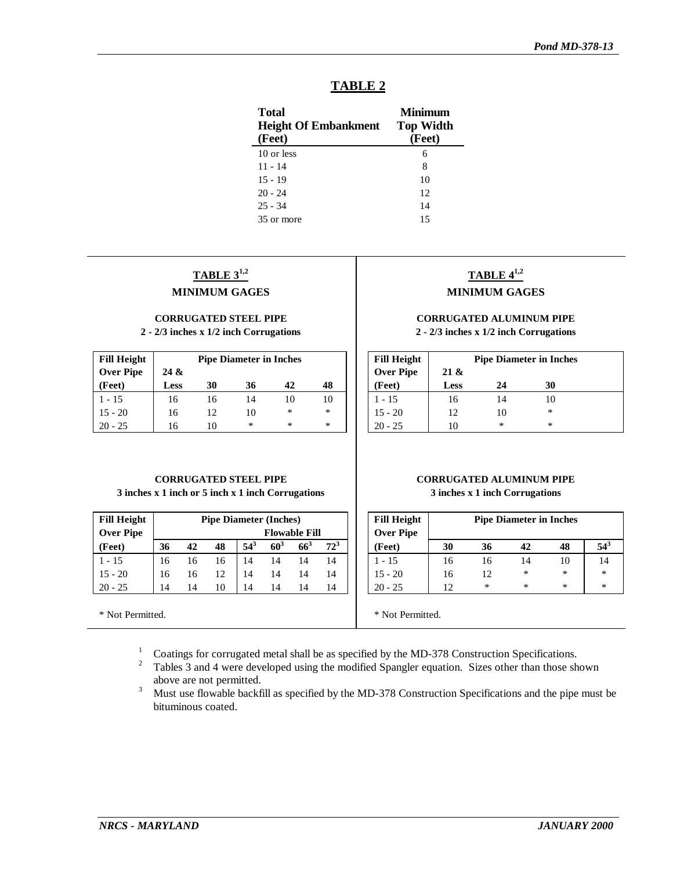| L. |  |
|----|--|
|    |  |

| <b>Total</b><br><b>Height Of Embankment</b><br>(Feet) | Minimum<br><b>Top Width</b><br>(Feet) |
|-------------------------------------------------------|---------------------------------------|
| 10 or less                                            | 6                                     |
| $11 - 14$                                             | 8                                     |
| $15 - 19$                                             | 10                                    |
| $20 - 24$                                             | 12                                    |
| $25 - 34$                                             | 14                                    |
| 35 or more                                            | 15                                    |

## **TABLE 31,2 MINIMUM GAGES**

### **CORRUGATED STEEL PIPE**

**2 - 2/3 inches x 1/2 inch Corrugations**

| <b>Fill Height</b> | <b>Pipe Diameter in Inches</b> |    |    |    |    |  |
|--------------------|--------------------------------|----|----|----|----|--|
| <b>Over Pipe</b>   | 24 &                           |    |    |    |    |  |
| (Feet)             | <b>Less</b>                    | 30 | 36 | 42 | 48 |  |
| $1 - 15$           | 16                             | 16 | 14 | 10 | 10 |  |
| $15 - 20$          | 16                             | 12 | 10 | *  | *  |  |
| $20 - 25$          | 16                             | 10 | *  | *  | *  |  |

# **TABLE 41,2**

### **MINIMUM GAGES**

#### **CORRUGATED ALUMINUM PIPE 2 - 2/3 inches x 1/2 inch Corrugations**

| <b>Fill Height</b> |                | <b>Pipe Diameter in Inches</b> |    |  |  |
|--------------------|----------------|--------------------------------|----|--|--|
| <b>Over Pipe</b>   | $21 \&$        |                                |    |  |  |
| (Feet)             | <b>Less</b>    | 24                             | 30 |  |  |
| 1 - 15             | 16             | 14                             |    |  |  |
| $15 - 20$          | 12             | 10                             | *  |  |  |
| 20 - 25            | $\blacksquare$ | ∗                              | ∗  |  |  |

#### **CORRUGATED STEEL PIPE 3 inches x 1 inch or 5 inch x 1 inch Corrugations**

| <b>Fill Height</b> | <b>Pipe Diameter (Inches)</b> |                      |    |          |                 |     |        |
|--------------------|-------------------------------|----------------------|----|----------|-----------------|-----|--------|
| <b>Over Pipe</b>   |                               | <b>Flowable Fill</b> |    |          |                 |     |        |
| (Feet)             | 36                            | 42                   | 48 | $54^{3}$ | 60 <sup>3</sup> | 663 | $72^3$ |
| $1 - 15$           | 16                            | 16                   | 16 | 14       | 14              | 14  | 14     |
| $15 - 20$          | 16                            | 16                   | 12 | 14       | 14              | 14  | 14     |
| $20 - 25$          | 14                            | 14                   | 10 | 14       | 14              | 14  | 14     |

\* Not Permitted.

#### **CORRUGATED ALUMINUM PIPE 3 inches x 1 inch Corrugations**

| <b>Fill Height</b><br><b>Over Pipe</b> | <b>Pipe Diameter in Inches</b> |    |    |    |          |  |
|----------------------------------------|--------------------------------|----|----|----|----------|--|
| (Feet)                                 | 30                             | 36 | 42 | 48 | $54^{3}$ |  |
| 1 - 15                                 | 16                             | 16 | 14 | 10 | 14       |  |
| $15 - 20$                              | 16                             | 12 | *  | *  | $\ast$   |  |
| $20 - 25$                              | 12                             | *  | *  | *  | *        |  |

\* Not Permitted.

<sup>1</sup> Coatings for corrugated metal shall be as specified by the MD-378 Construction Specifications.

<sup>2</sup> Tables 3 and 4 were developed using the modified Spangler equation. Sizes other than those shown above are not permitted.

<sup>3</sup> Must use flowable backfill as specified by the MD-378 Construction Specifications and the pipe must be bituminous coated.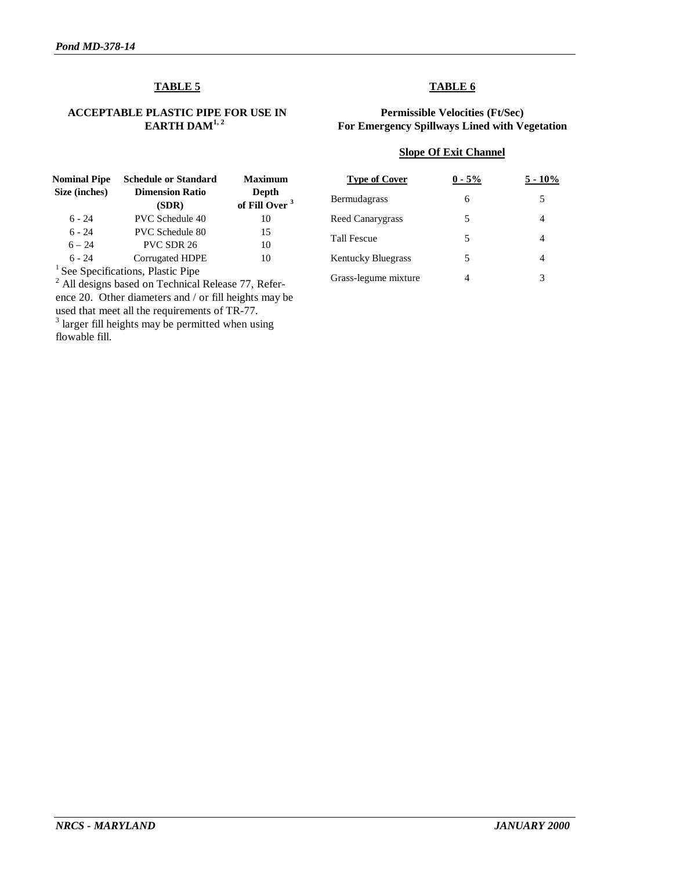### **TABLE 5**

#### **ACCEPTABLE PLASTIC PIPE FOR USE IN EARTH DAM1, 2**

### **TABLE 6**

#### **Permissible Velocities (Ft/Sec) For Emergency Spillways Lined with Vegetation**

#### **Slope Of Exit Channel**

| Nominal Pipe<br>Size (inches) | <b>Schedule or Standard</b><br><b>Dimension Ratio</b>                                                        | <b>Maximum</b><br>Depth   |
|-------------------------------|--------------------------------------------------------------------------------------------------------------|---------------------------|
|                               | (SDR)                                                                                                        | of Fill Over <sup>3</sup> |
| $6 - 24$                      | <b>PVC</b> Schedule 40                                                                                       | 10                        |
| $6 - 24$                      | <b>PVC</b> Schedule 80                                                                                       | 15                        |
| $6 - 24$                      | PVC SDR 26                                                                                                   | 10                        |
| $6 - 24$                      | Corrugated HDPE                                                                                              | 10                        |
|                               | $1 \sigma_{\rm eff}$ , $\sigma_{\rm eff}$ , and $\sigma_{\rm eff}$ , $\sigma_{\rm eff}$ , $\sigma_{\rm eff}$ |                           |

<sup>1</sup> See Specifications, Plastic Pipe<br>
<sup>2</sup> All designs based on Technical Release 77, Reference 20. Other diameters and / or fill heights may be used that meet all the requirements of TR-77.

<sup>3</sup> larger fill heights may be permitted when using flowable fill.

| <b>Type of Cover</b>      | $0 - 5\%$ | $5 - 10\%$ |
|---------------------------|-----------|------------|
| <b>Bermudagrass</b>       | 6         | 5          |
| Reed Canarygrass          | 5         |            |
| <b>Tall Fescue</b>        | 5         | 4          |
| <b>Kentucky Bluegrass</b> | 5         |            |
| Grass-legume mixture      |           | 3          |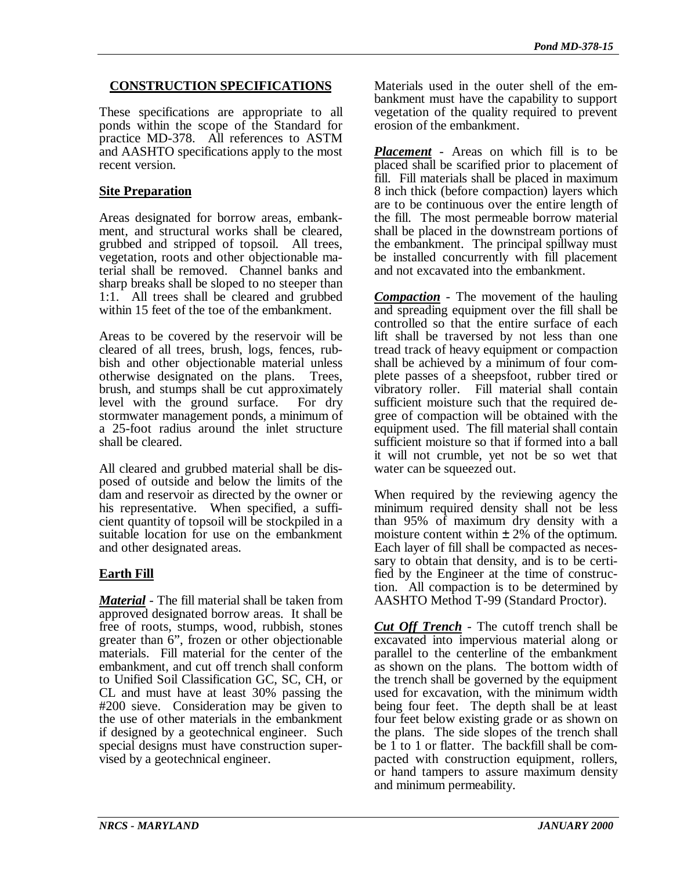### **CONSTRUCTION SPECIFICATIONS**

These specifications are appropriate to all ponds within the scope of the Standard for practice MD-378. All references to ASTM and AASHTO specifications apply to the most recent version.

### **Site Preparation**

Areas designated for borrow areas, embankment, and structural works shall be cleared, grubbed and stripped of topsoil. All trees, vegetation, roots and other objectionable material shall be removed. Channel banks and sharp breaks shall be sloped to no steeper than 1:1. All trees shall be cleared and grubbed within 15 feet of the toe of the embankment.

Areas to be covered by the reservoir will be cleared of all trees, brush, logs, fences, rubbish and other objectionable material unless otherwise designated on the plans. Trees, brush, and stumps shall be cut approximately level with the ground surface. For dry stormwater management ponds, a minimum of a 25-foot radius around the inlet structure shall be cleared.

All cleared and grubbed material shall be disposed of outside and below the limits of the dam and reservoir as directed by the owner or his representative. When specified, a sufficient quantity of topsoil will be stockpiled in a suitable location for use on the embankment and other designated areas.

### **Earth Fill**

*Material* - The fill material shall be taken from approved designated borrow areas. It shall be free of roots, stumps, wood, rubbish, stones greater than 6", frozen or other objectionable materials. Fill material for the center of the embankment, and cut off trench shall conform to Unified Soil Classification GC, SC, CH, or CL and must have at least 30% passing the #200 sieve. Consideration may be given to the use of other materials in the embankment if designed by a geotechnical engineer. Such special designs must have construction supervised by a geotechnical engineer.

Materials used in the outer shell of the embankment must have the capability to support vegetation of the quality required to prevent erosion of the embankment.

*Placement* - Areas on which fill is to be placed shall be scarified prior to placement of fill. Fill materials shall be placed in maximum 8 inch thick (before compaction) layers which are to be continuous over the entire length of the fill. The most permeable borrow material shall be placed in the downstream portions of the embankment. The principal spillway must be installed concurrently with fill placement and not excavated into the embankment.

*Compaction* - The movement of the hauling and spreading equipment over the fill shall be controlled so that the entire surface of each lift shall be traversed by not less than one tread track of heavy equipment or compaction shall be achieved by a minimum of four complete passes of a sheepsfoot, rubber tired or vibratory roller. Fill material shall contain sufficient moisture such that the required degree of compaction will be obtained with the equipment used. The fill material shall contain sufficient moisture so that if formed into a ball it will not crumble, yet not be so wet that water can be squeezed out.

When required by the reviewing agency the minimum required density shall not be less than 95% of maximum dry density with a moisture content within  $\pm 2\%$  of the optimum. Each layer of fill shall be compacted as necessary to obtain that density, and is to be certified by the Engineer at the time of construction. All compaction is to be determined by AASHTO Method T-99 (Standard Proctor).

*Cut Off Trench* - The cutoff trench shall be excavated into impervious material along or parallel to the centerline of the embankment as shown on the plans. The bottom width of the trench shall be governed by the equipment used for excavation, with the minimum width being four feet. The depth shall be at least four feet below existing grade or as shown on the plans. The side slopes of the trench shall be 1 to 1 or flatter. The backfill shall be compacted with construction equipment, rollers, or hand tampers to assure maximum density and minimum permeability.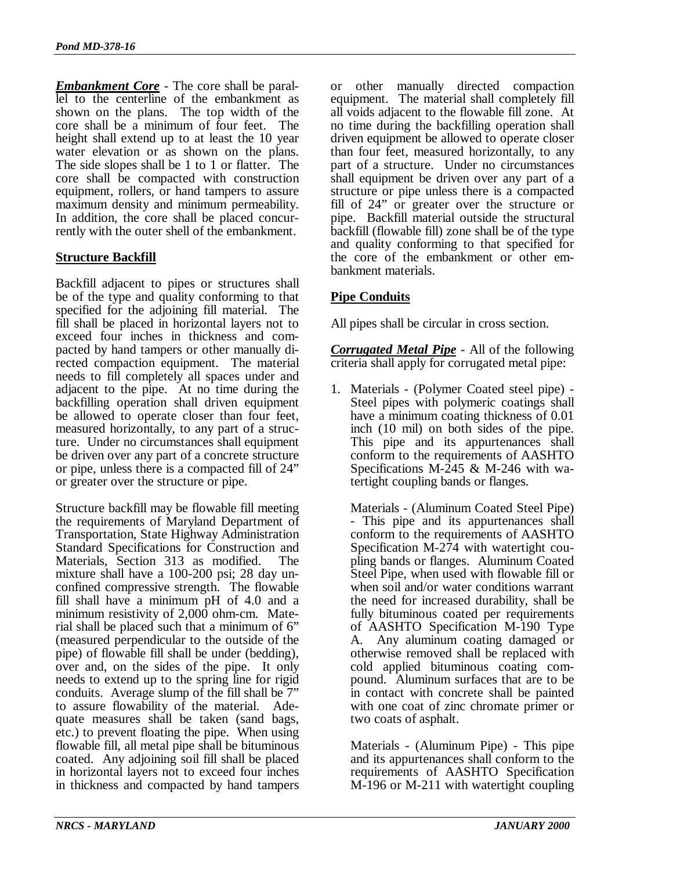*Embankment Core* - The core shall be parallel to the centerline of the embankment as shown on the plans. The top width of the core shall be a minimum of four feet. The height shall extend up to at least the 10 year water elevation or as shown on the plans. The side slopes shall be 1 to 1 or flatter. The core shall be compacted with construction equipment, rollers, or hand tampers to assure maximum density and minimum permeability. In addition, the core shall be placed concurrently with the outer shell of the embankment.

### **Structure Backfill**

Backfill adjacent to pipes or structures shall be of the type and quality conforming to that specified for the adjoining fill material. The fill shall be placed in horizontal layers not to exceed four inches in thickness and compacted by hand tampers or other manually directed compaction equipment. The material needs to fill completely all spaces under and adjacent to the pipe. At no time during the backfilling operation shall driven equipment be allowed to operate closer than four feet, measured horizontally, to any part of a structure. Under no circumstances shall equipment be driven over any part of a concrete structure or pipe, unless there is a compacted fill of 24" or greater over the structure or pipe.

Structure backfill may be flowable fill meeting the requirements of Maryland Department of Transportation, State Highway Administration Standard Specifications for Construction and Materials, Section 313 as modified. The mixture shall have a 100-200 psi; 28 day unconfined compressive strength. The flowable fill shall have a minimum pH of 4.0 and a minimum resistivity of 2,000 ohm-cm. Material shall be placed such that a minimum of 6" (measured perpendicular to the outside of the pipe) of flowable fill shall be under (bedding), over and, on the sides of the pipe. It only needs to extend up to the spring line for rigid conduits. Average slump of the fill shall be 7" to assure flowability of the material. Adequate measures shall be taken (sand bags, etc.) to prevent floating the pipe. When using flowable fill, all metal pipe shall be bituminous coated. Any adjoining soil fill shall be placed in horizontal layers not to exceed four inches in thickness and compacted by hand tampers

or other manually directed compaction equipment. The material shall completely fill all voids adjacent to the flowable fill zone. At no time during the backfilling operation shall driven equipment be allowed to operate closer than four feet, measured horizontally, to any part of a structure. Under no circumstances shall equipment be driven over any part of a structure or pipe unless there is a compacted fill of 24" or greater over the structure or pipe. Backfill material outside the structural backfill (flowable fill) zone shall be of the type and quality conforming to that specified for the core of the embankment or other embankment materials.

### **Pipe Conduits**

All pipes shall be circular in cross section.

*Corrugated Metal Pipe* - All of the following criteria shall apply for corrugated metal pipe:

1. Materials - (Polymer Coated steel pipe) - Steel pipes with polymeric coatings shall have a minimum coating thickness of 0.01 inch (10 mil) on both sides of the pipe. This pipe and its appurtenances shall conform to the requirements of AASHTO Specifications M-245 & M-246 with watertight coupling bands or flanges.

Materials - (Aluminum Coated Steel Pipe) - This pipe and its appurtenances shall conform to the requirements of AASHTO Specification M-274 with watertight coupling bands or flanges. Aluminum Coated Steel Pipe, when used with flowable fill or when soil and/or water conditions warrant the need for increased durability, shall be fully bituminous coated per requirements of AASHTO Specification M-190 Type A. Any aluminum coating damaged or otherwise removed shall be replaced with cold applied bituminous coating compound. Aluminum surfaces that are to be in contact with concrete shall be painted with one coat of zinc chromate primer or two coats of asphalt.

Materials - (Aluminum Pipe) - This pipe and its appurtenances shall conform to the requirements of AASHTO Specification M-196 or M-211 with watertight coupling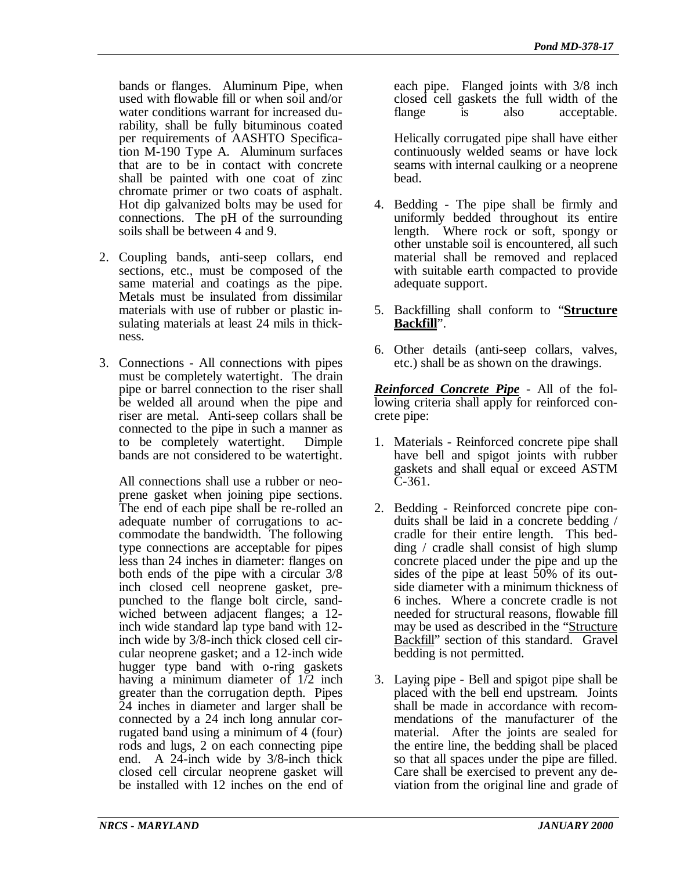bands or flanges. Aluminum Pipe, when used with flowable fill or when soil and/or water conditions warrant for increased durability, shall be fully bituminous coated per requirements of AASHTO Specification M-190 Type A. Aluminum surfaces that are to be in contact with concrete shall be painted with one coat of zinc chromate primer or two coats of asphalt. Hot dip galvanized bolts may be used for connections. The pH of the surrounding soils shall be between 4 and 9.

- 2. Coupling bands, anti-seep collars, end sections, etc., must be composed of the same material and coatings as the pipe. Metals must be insulated from dissimilar materials with use of rubber or plastic insulating materials at least 24 mils in thickness.
- 3. Connections All connections with pipes must be completely watertight. The drain pipe or barrel connection to the riser shall be welded all around when the pipe and riser are metal. Anti-seep collars shall be connected to the pipe in such a manner as to be completely watertight. Dimple bands are not considered to be watertight.

All connections shall use a rubber or neoprene gasket when joining pipe sections. The end of each pipe shall be re-rolled an adequate number of corrugations to accommodate the bandwidth. The following type connections are acceptable for pipes less than 24 inches in diameter: flanges on both ends of the pipe with a circular 3/8 inch closed cell neoprene gasket, prepunched to the flange bolt circle, sandwiched between adjacent flanges; a 12 inch wide standard lap type band with 12 inch wide by 3/8-inch thick closed cell circular neoprene gasket; and a 12-inch wide hugger type band with o-ring gaskets having a minimum diameter of  $1/2$  inch greater than the corrugation depth. Pipes 24 inches in diameter and larger shall be connected by a 24 inch long annular corrugated band using a minimum of 4 (four) rods and lugs, 2 on each connecting pipe end. A 24-inch wide by 3/8-inch thick closed cell circular neoprene gasket will be installed with 12 inches on the end of

each pipe. Flanged joints with 3/8 inch closed cell gaskets the full width of the flange is also acceptable.

Helically corrugated pipe shall have either continuously welded seams or have lock seams with internal caulking or a neoprene bead.

- 4. Bedding The pipe shall be firmly and uniformly bedded throughout its entire length. Where rock or soft, spongy or other unstable soil is encountered, all such material shall be removed and replaced with suitable earth compacted to provide adequate support.
- 5. Backfilling shall conform to "**Structure Backfill**".
- 6. Other details (anti-seep collars, valves, etc.) shall be as shown on the drawings.

*Reinforced Concrete Pipe* - All of the following criteria shall apply for reinforced concrete pipe:

- 1. Materials Reinforced concrete pipe shall have bell and spigot joints with rubber gaskets and shall equal or exceed ASTM C-361.
- 2. Bedding Reinforced concrete pipe conduits shall be laid in a concrete bedding / cradle for their entire length. This bedding / cradle shall consist of high slump concrete placed under the pipe and up the sides of the pipe at least 50% of its outside diameter with a minimum thickness of 6 inches. Where a concrete cradle is not needed for structural reasons, flowable fill may be used as described in the "*Structure*" Backfill" section of this standard. Gravel bedding is not permitted.
- 3. Laying pipe Bell and spigot pipe shall be placed with the bell end upstream. Joints shall be made in accordance with recommendations of the manufacturer of the material. After the joints are sealed for the entire line, the bedding shall be placed so that all spaces under the pipe are filled. Care shall be exercised to prevent any deviation from the original line and grade of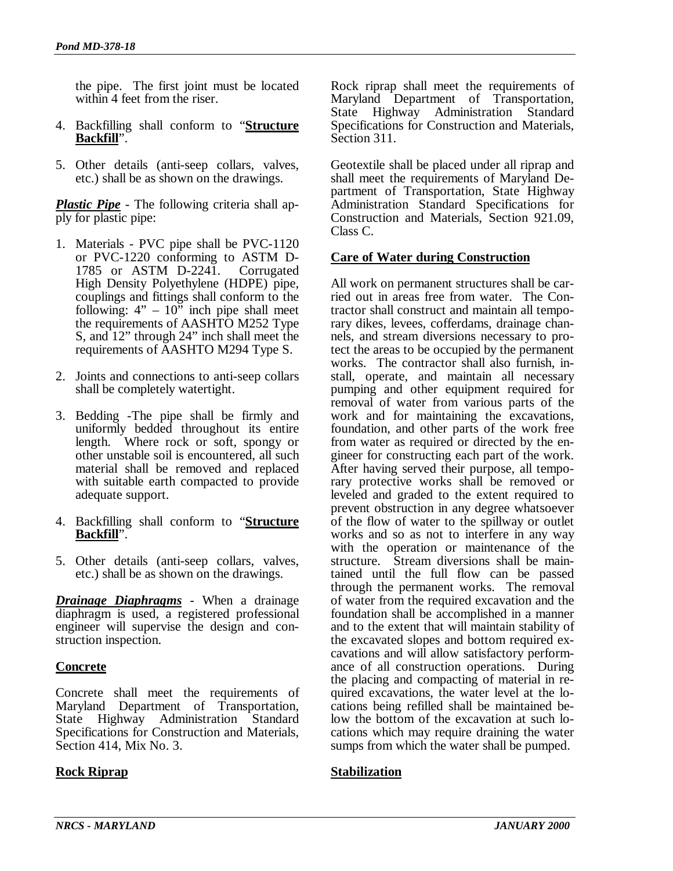the pipe. The first joint must be located within 4 feet from the riser.

- 4. Backfilling shall conform to "**Structure Backfill**".
- 5. Other details (anti-seep collars, valves, etc.) shall be as shown on the drawings.

*Plastic Pipe* - The following criteria shall apply for plastic pipe:

- 1. Materials PVC pipe shall be PVC-1120 or PVC-1220 conforming to ASTM D-1785 or ASTM D-2241. Corrugated High Density Polyethylene (HDPE) pipe, couplings and fittings shall conform to the following:  $4'' - 10''$  inch pipe shall meet the requirements of AASHTO M252 Type S, and 12" through 24" inch shall meet the requirements of AASHTO M294 Type S.
- 2. Joints and connections to anti-seep collars shall be completely watertight.
- 3. Bedding -The pipe shall be firmly and uniformly bedded throughout its entire length. Where rock or soft, spongy or other unstable soil is encountered, all such material shall be removed and replaced with suitable earth compacted to provide adequate support.
- 4. Backfilling shall conform to "**Structure Backfill**".
- 5. Other details (anti-seep collars, valves, etc.) shall be as shown on the drawings.

*Drainage Diaphragms* - When a drainage diaphragm is used, a registered professional engineer will supervise the design and construction inspection.

### **Concrete**

Concrete shall meet the requirements of Maryland Department of Transportation, State Highway Administration Standard Specifications for Construction and Materials, Section 414, Mix No. 3.

### **Rock Riprap**

Rock riprap shall meet the requirements of Maryland Department of Transportation, State Highway Administration Standard Specifications for Construction and Materials, Section 311.

Geotextile shall be placed under all riprap and shall meet the requirements of Maryland Department of Transportation, State Highway Administration Standard Specifications for Construction and Materials, Section 921.09, Class C.

### **Care of Water during Construction**

All work on permanent structures shall be carried out in areas free from water. The Contractor shall construct and maintain all temporary dikes, levees, cofferdams, drainage channels, and stream diversions necessary to protect the areas to be occupied by the permanent works. The contractor shall also furnish, install, operate, and maintain all necessary pumping and other equipment required for removal of water from various parts of the work and for maintaining the excavations, foundation, and other parts of the work free from water as required or directed by the engineer for constructing each part of the work. After having served their purpose, all temporary protective works shall be removed or leveled and graded to the extent required to prevent obstruction in any degree whatsoever of the flow of water to the spillway or outlet works and so as not to interfere in any way with the operation or maintenance of the structure. Stream diversions shall be maintained until the full flow can be passed through the permanent works. The removal of water from the required excavation and the foundation shall be accomplished in a manner and to the extent that will maintain stability of the excavated slopes and bottom required excavations and will allow satisfactory performance of all construction operations. During the placing and compacting of material in required excavations, the water level at the locations being refilled shall be maintained below the bottom of the excavation at such locations which may require draining the water sumps from which the water shall be pumped.

### **Stabilization**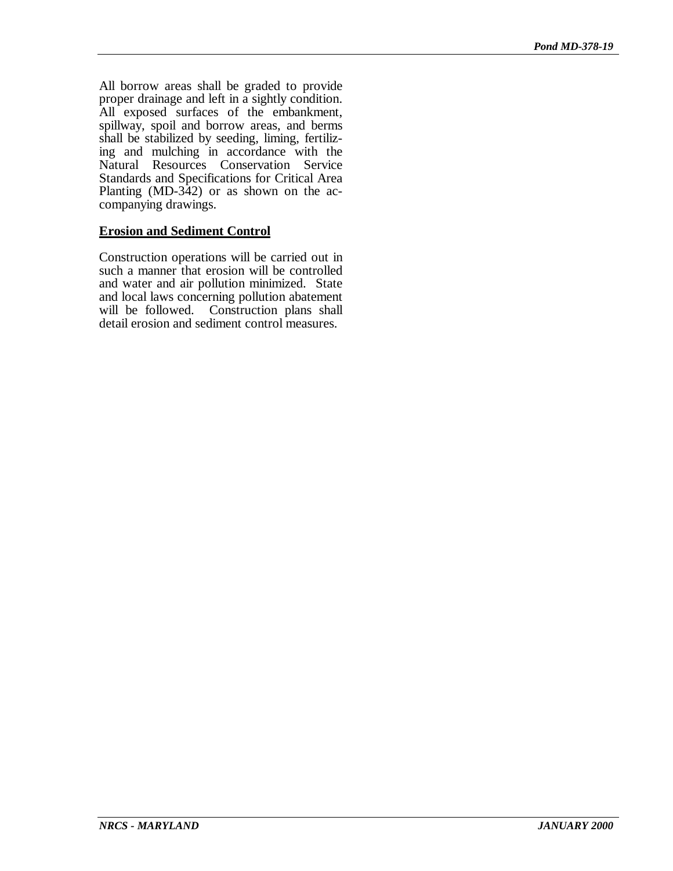All borrow areas shall be graded to provide proper drainage and left in a sightly condition. All exposed surfaces of the embankment, spillway, spoil and borrow areas, and berms shall be stabilized by seeding, liming, fertilizing and mulching in accordance with the Natural Resources Conservation Service Standards and Specifications for Critical Area Planting (MD-342) or as shown on the accompanying drawings.

## **Erosion and Sediment Control**

Construction operations will be carried out in such a manner that erosion will be controlled and water and air pollution minimized. State and local laws concerning pollution abatement will be followed. Construction plans shall detail erosion and sediment control measures.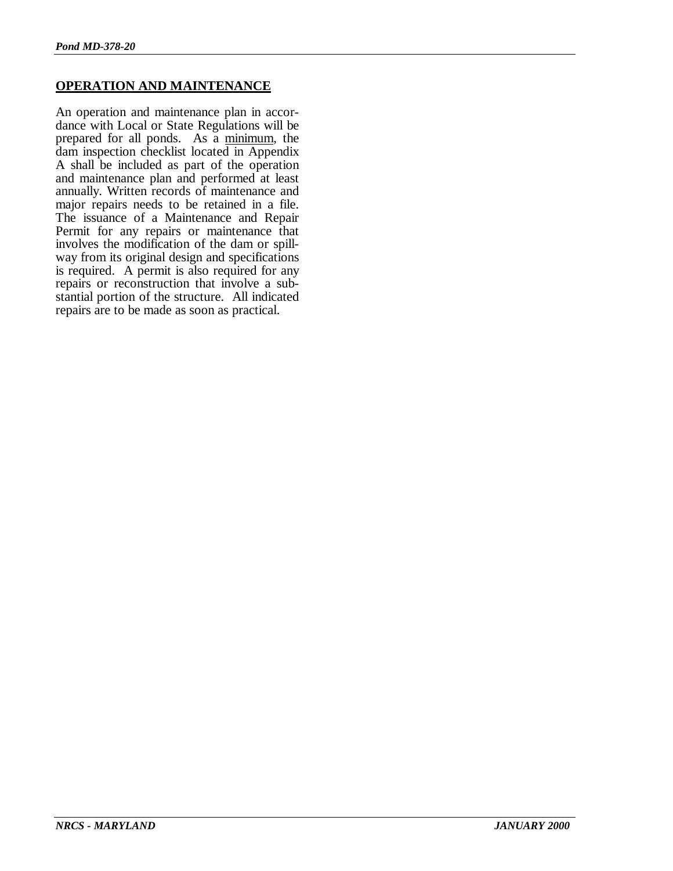### **OPERATION AND MAINTENANCE**

An operation and maintenance plan in accordance with Local or State Regulations will be prepared for all ponds. As a minimum, the dam inspection checklist located in Appendix A shall be included as part of the operation and maintenance plan and performed at least annually. Written records of maintenance and major repairs needs to be retained in a file. The issuance of a Maintenance and Repair Permit for any repairs or maintenance that involves the modification of the dam or spillway from its original design and specifications is required. A permit is also required for any repairs or reconstruction that involve a substantial portion of the structure. All indicated repairs are to be made as soon as practical.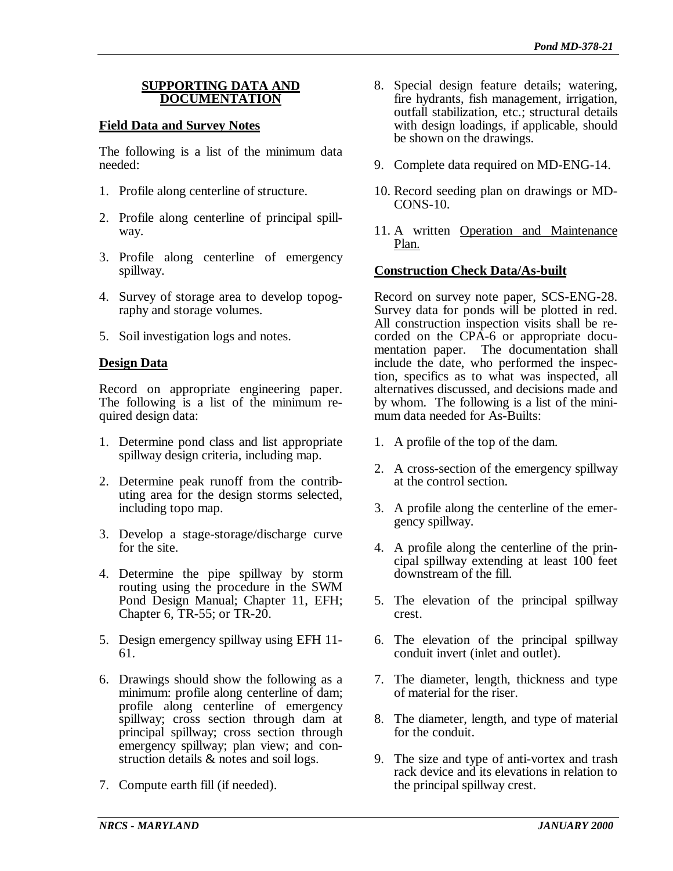### **SUPPORTING DATA AND DOCUMENTATION**

### **Field Data and Survey Notes**

The following is a list of the minimum data needed:

- 1. Profile along centerline of structure.
- 2. Profile along centerline of principal spillway.
- 3. Profile along centerline of emergency spillway.
- 4. Survey of storage area to develop topography and storage volumes.
- 5. Soil investigation logs and notes.

## **Design Data**

Record on appropriate engineering paper. The following is a list of the minimum required design data:

- 1. Determine pond class and list appropriate spillway design criteria, including map.
- 2. Determine peak runoff from the contributing area for the design storms selected, including topo map.
- 3. Develop a stage-storage/discharge curve for the site.
- 4. Determine the pipe spillway by storm routing using the procedure in the SWM Pond Design Manual; Chapter 11, EFH; Chapter 6, TR-55; or TR-20.
- 5. Design emergency spillway using EFH 11- 61.
- 6. Drawings should show the following as a minimum: profile along centerline of dam; profile along centerline of emergency spillway; cross section through dam at principal spillway; cross section through emergency spillway; plan view; and construction details & notes and soil logs.
- 7. Compute earth fill (if needed).
- 8. Special design feature details; watering, fire hydrants, fish management, irrigation, outfall stabilization, etc.; structural details with design loadings, if applicable, should be shown on the drawings.
- 9. Complete data required on MD-ENG-14.
- 10. Record seeding plan on drawings or MD-CONS-10.
- 11. A written Operation and Maintenance Plan.

### **Construction Check Data/As-built**

Record on survey note paper, SCS-ENG-28. Survey data for ponds will be plotted in red. All construction inspection visits shall be recorded on the CPA-6 or appropriate documentation paper. The documentation shall include the date, who performed the inspection, specifics as to what was inspected, all alternatives discussed, and decisions made and by whom. The following is a list of the minimum data needed for As-Builts:

- 1. A profile of the top of the dam.
- 2. A cross-section of the emergency spillway at the control section.
- 3. A profile along the centerline of the emergency spillway.
- 4. A profile along the centerline of the principal spillway extending at least 100 feet downstream of the fill.
- 5. The elevation of the principal spillway crest.
- 6. The elevation of the principal spillway conduit invert (inlet and outlet).
- 7. The diameter, length, thickness and type of material for the riser.
- 8. The diameter, length, and type of material for the conduit.
- 9. The size and type of anti-vortex and trash rack device and its elevations in relation to the principal spillway crest.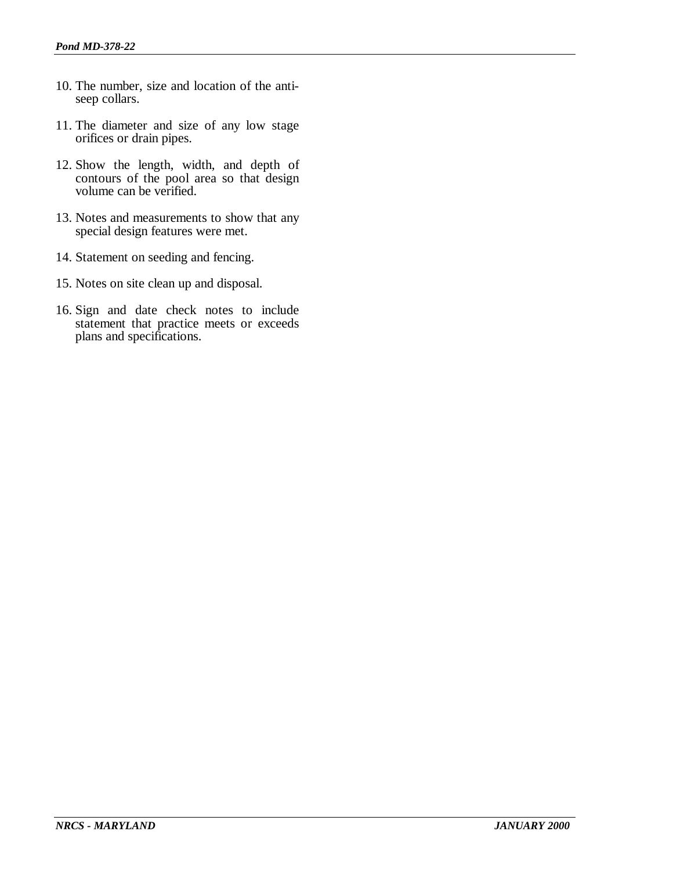- 10. The number, size and location of the antiseep collars.
- 11. The diameter and size of any low stage orifices or drain pipes.
- 12. Show the length, width, and depth of contours of the pool area so that design volume can be verified.
- 13. Notes and measurements to show that any special design features were met.
- 14. Statement on seeding and fencing.
- 15. Notes on site clean up and disposal.
- 16. Sign and date check notes to include statement that practice meets or exceeds plans and specifications.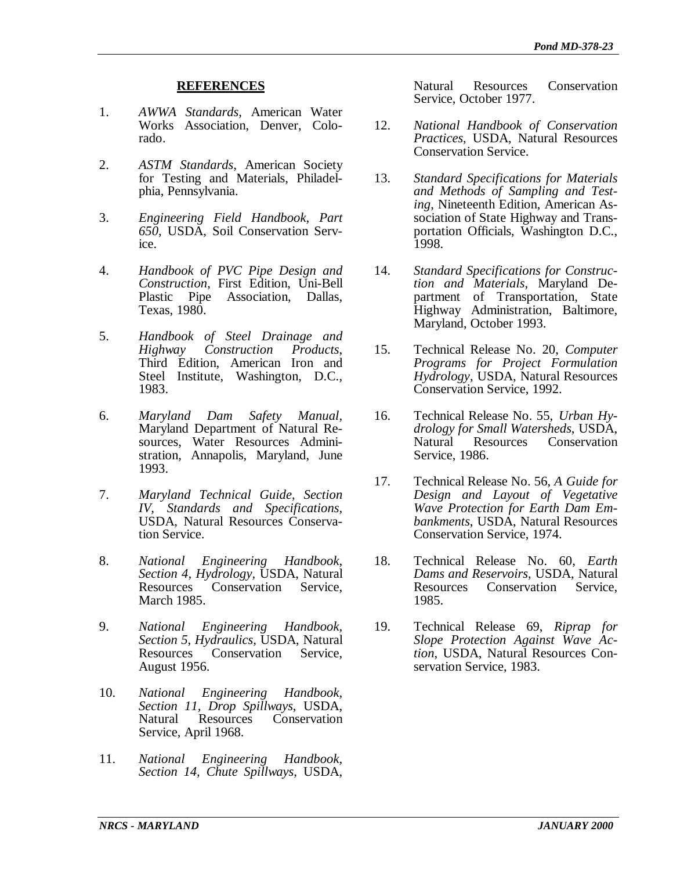#### **REFERENCES**

- 1. *AWWA Standards*, American Water Works Association, Denver, Colorado.
- 2. *ASTM Standards*, American Society for Testing and Materials, Philadelphia, Pennsylvania.
- 3. *Engineering Field Handbook, Part 650*, USDA, Soil Conservation Service.
- 4. *Handbook of PVC Pipe Design and Construction*, First Edition, Uni-Bell Plastic Pipe Association, Dallas, Texas, 1980.
- 5. *Handbook of Steel Drainage and Highway Construction Products*, Third Edition, American Iron and Steel Institute, Washington, D.C., 1983.
- 6. *Maryland Dam Safety Manual*, Maryland Department of Natural Resources, Water Resources Administration, Annapolis, Maryland, June 1993.
- 7. *Maryland Technical Guide, Section IV, Standards and Specifications,* USDA, Natural Resources Conservation Service.
- 8. *National Engineering Handbook, Section 4, Hydrology*, USDA, Natural Conservation March 1985.
- 9. *National Engineering Handbook, Section 5, Hydraulics*, USDA, Natural Resources Conservation Service, August 1956.
- 10. *National Engineering Handbook, Section 11, Drop Spillways*, USDA, Conservation Service, April 1968.
- 11. *National Engineering Handbook, Section 14, Chute Spillways*, USDA,

Natural Resources Conservation Service, October 1977.

- 12. *National Handbook of Conservation Practices*, USDA, Natural Resources Conservation Service.
- 13. *Standard Specifications for Materials and Methods of Sampling and Testing*, Nineteenth Edition, American Association of State Highway and Transportation Officials, Washington D.C., 1998.
- 14. *Standard Specifications for Construction and Materials*, Maryland Department of Transportation, State Highway Administration, Baltimore, Maryland, October 1993.
- 15. Technical Release No. 20, *Computer Programs for Project Formulation Hydrology*, USDA, Natural Resources Conservation Service, 1992.
- 16. Technical Release No. 55, *Urban Hydrology for Small Watersheds*, USDA, Conservation Service, 1986.
- 17. Technical Release No. 56, *A Guide for Design and Layout of Vegetative Wave Protection for Earth Dam Embankments*, USDA, Natural Resources Conservation Service, 1974.
- 18. Technical Release No. 60, *Earth Dams and Reservoirs*, USDA, Natural Conservation Service 1985.
- 19. Technical Release 69, *Riprap for Slope Protection Against Wave Action*, USDA, Natural Resources Conservation Service, 1983.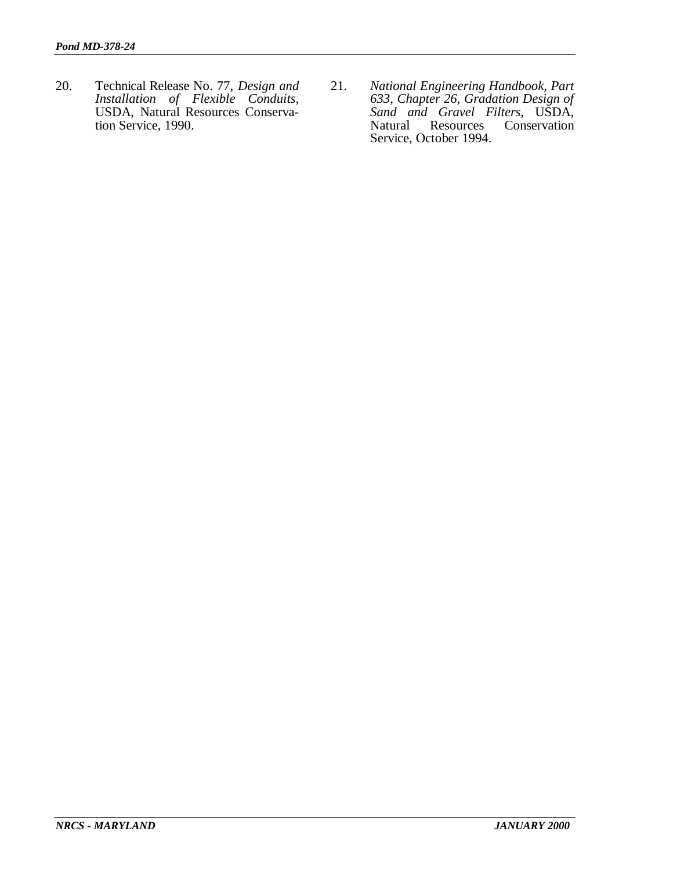- 20. Technical Release No. 77, *Design and Installation of Flexible Conduits*, USDA, Natural Resources Conservation Service, 1990.
- 21. *National Engineering Handbook, Part 633, Chapter 26, Gradation Design of Sand and Gravel Filters*, USDA, Natural Resources Conservation Service, October 1994.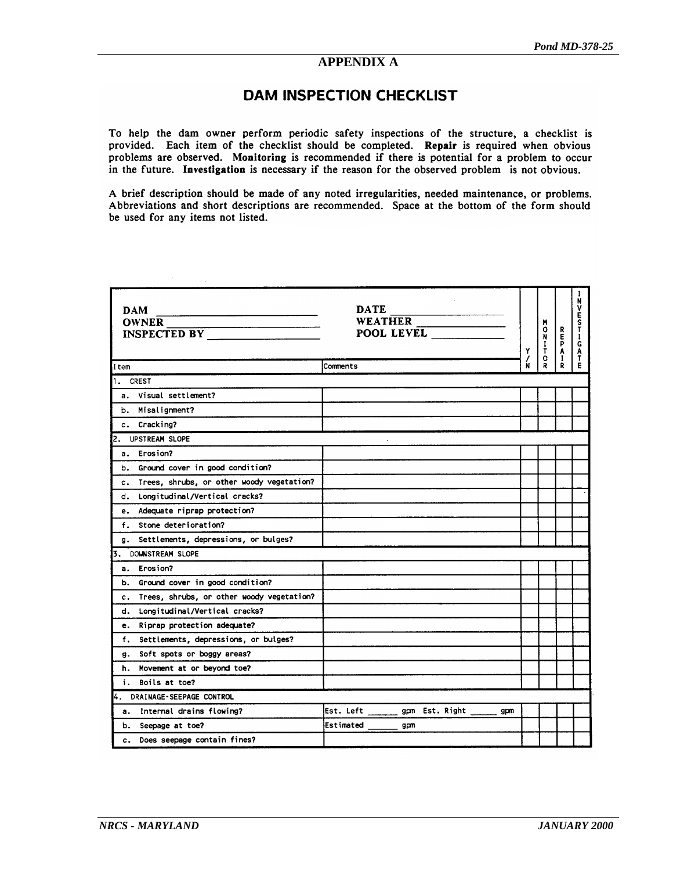### **APPENDIX A**

### **DAM INSPECTION CHECKLIST**

To help the dam owner perform periodic safety inspections of the structure, a checklist is provided. Each item of the checklist should be completed. Repair is required when obvious problems are observed. Monitoring is recommended if there is potential for a problem to occur in the future. Investigation is necessary if the reason for the observed problem is not obvious.

A brief description should be made of any noted irregularities, needed maintenance, or problems. Abbreviations and short descriptions are recommended. Space at the bottom of the form should be used for any items not listed.

| <b>DAM</b><br><b>OWNER</b><br><b>INSPECTED BY</b> | <b>DATE</b><br>WEATHER<br>POOL LEVEL            | Y<br>/<br>N | M<br>0<br>$\frac{N}{I}$ | REPA<br>$\mathbf{I}$ | N<br>٧<br>É<br>S<br>Т<br>Ť<br>Ġ<br>$\begin{array}{c}\nA \\ T \\ E\n\end{array}$ |
|---------------------------------------------------|-------------------------------------------------|-------------|-------------------------|----------------------|---------------------------------------------------------------------------------|
| Item                                              | Comments                                        |             | R                       | Ř                    |                                                                                 |
| 1. CREST                                          |                                                 |             |                         |                      |                                                                                 |
| a. Visual settlement?                             |                                                 |             |                         |                      |                                                                                 |
| b. Misalignment?                                  |                                                 |             |                         |                      |                                                                                 |
| c. Cracking?                                      |                                                 |             |                         |                      |                                                                                 |
| 2. UPSTREAM SLOPE                                 |                                                 |             |                         |                      |                                                                                 |
| a. Erosion?                                       |                                                 |             |                         |                      |                                                                                 |
| b. Ground cover in good condition?                |                                                 |             |                         |                      |                                                                                 |
| Trees, shrubs, or other woody vegetation?<br>c.   |                                                 |             |                         |                      |                                                                                 |
| d. Longitudinal/Vertical cracks?                  |                                                 |             |                         |                      |                                                                                 |
| e. Adequate riprap protection?                    |                                                 |             |                         |                      |                                                                                 |
| Stone deterioration?<br>f.                        |                                                 |             |                         |                      |                                                                                 |
| Settlements, depressions, or bulges?<br>g.        |                                                 |             |                         |                      |                                                                                 |
| 3. DOWNSTREAM SLOPE                               |                                                 |             |                         |                      |                                                                                 |
| a. Erosion?                                       |                                                 |             |                         |                      |                                                                                 |
| b. Ground cover in good condition?                |                                                 |             |                         |                      |                                                                                 |
| Trees, shrubs, or other woody vegetation?<br>c.   |                                                 |             |                         |                      |                                                                                 |
| Longitudinal/Vertical cracks?<br>d.               |                                                 |             |                         |                      |                                                                                 |
| Riprap protection adequate?<br>е.                 |                                                 |             |                         |                      |                                                                                 |
| f.<br>Settlements, depressions, or bulges?        |                                                 |             |                         |                      |                                                                                 |
| Soft spots or boggy areas?<br>g.                  |                                                 |             |                         |                      |                                                                                 |
| h. Movement at or beyond toe?                     |                                                 |             |                         |                      |                                                                                 |
| i. Boils at toe?                                  |                                                 |             |                         |                      |                                                                                 |
| 4. DRAINAGE-SEEPAGE CONTROL                       |                                                 |             |                         |                      |                                                                                 |
| Internal drains flowing?<br>а.                    | Est. Left ________ gpm Est. Right ______<br>gpm |             |                         |                      |                                                                                 |
| b. Seepage at toe?                                | Estimated<br>gpm                                |             |                         |                      |                                                                                 |
| Does seepage contain fines?<br>c.                 |                                                 |             |                         |                      |                                                                                 |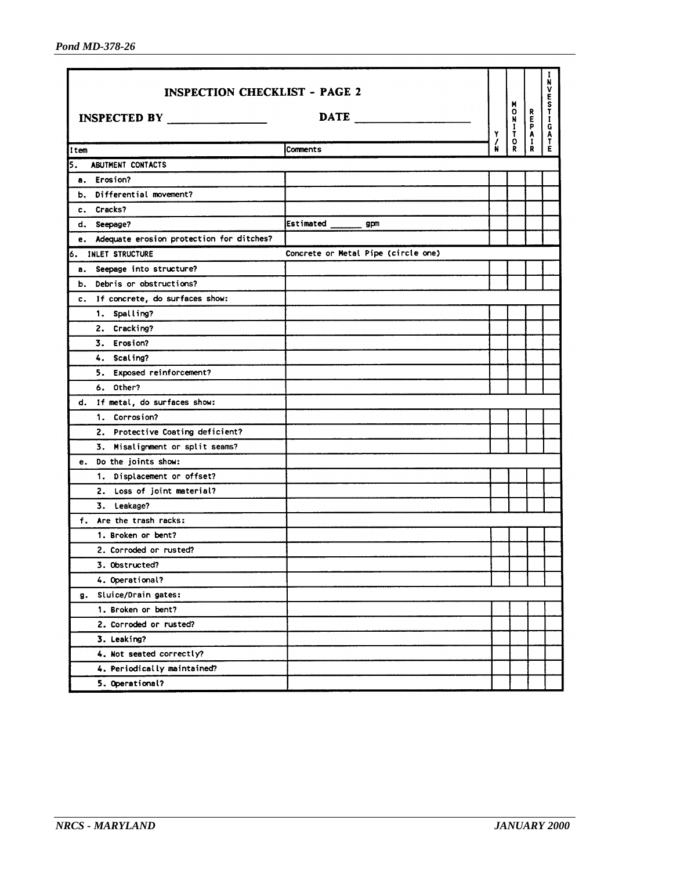| <b>INSPECTION CHECKLIST - PAGE 2</b>        |                                     |   |                                                           |        | N<br>ν                          |
|---------------------------------------------|-------------------------------------|---|-----------------------------------------------------------|--------|---------------------------------|
| INSPECTED BY                                | DATE <b>DATE</b>                    | Y | M<br>$\begin{array}{c}\n0 \\ 0 \\ \hline\n0\n\end{array}$ | REPAIR | E<br>S<br>T<br>G<br>A<br>T<br>E |
| Item                                        | <b>Comments</b>                     |   |                                                           |        |                                 |
| ABUTMENT CONTACTS<br>5.                     |                                     |   |                                                           |        |                                 |
| a. Erosion?                                 |                                     |   |                                                           |        |                                 |
| b. Differential movement?                   |                                     |   |                                                           |        |                                 |
| c. Cracks?                                  |                                     |   |                                                           |        |                                 |
| d. Seepage?                                 | Estimated<br>gpm                    |   |                                                           |        |                                 |
| e. Adequate erosion protection for ditches? |                                     |   |                                                           |        |                                 |
| INLET STRUCTURE<br>6.                       | Concrete or Metal Pipe (circle one) |   |                                                           |        |                                 |
| Seepage into structure?<br>а.               |                                     |   |                                                           |        |                                 |
| Debris or obstructions?<br>ь.               |                                     |   |                                                           |        |                                 |
| c. If concrete, do surfaces show:           |                                     |   |                                                           |        |                                 |
| 1. Spalling?                                |                                     |   |                                                           |        |                                 |
| 2. Cracking?                                |                                     |   |                                                           |        |                                 |
| 3. Erosion?                                 |                                     |   |                                                           |        |                                 |
| 4. Scaling?                                 |                                     |   |                                                           |        |                                 |
| 5. Exposed reinforcement?                   |                                     |   |                                                           |        |                                 |
| 6. Other?                                   |                                     |   |                                                           |        |                                 |
| If metal, do surfaces show:<br>d.           |                                     |   |                                                           |        |                                 |
| 1. Corrosion?                               |                                     |   |                                                           |        |                                 |
| 2. Protective Coating deficient?            |                                     |   |                                                           |        |                                 |
| 3. Misalignment or split seams?             |                                     |   |                                                           |        |                                 |
| Do the joints show:<br>e.                   |                                     |   |                                                           |        |                                 |
| 1. Displacement or offset?                  |                                     |   |                                                           |        |                                 |
| 2. Loss of joint material?                  |                                     |   |                                                           |        |                                 |
| 3. Leakage?                                 |                                     |   |                                                           |        |                                 |
| f. Are the trash racks:                     |                                     |   |                                                           |        |                                 |
| 1. Broken or bent?                          |                                     |   |                                                           |        |                                 |
| 2. Corroded or rusted?                      |                                     |   |                                                           |        |                                 |
| 3. Obstructed?                              |                                     |   |                                                           |        |                                 |
| 4. Operational?                             |                                     |   |                                                           |        |                                 |
| Sluice/Drain gates:<br>g.                   |                                     |   |                                                           |        |                                 |
| 1. Broken or bent?                          |                                     |   |                                                           |        |                                 |
| 2. Corroded or rusted?                      |                                     |   |                                                           |        |                                 |
| 3. Leaking?                                 |                                     |   |                                                           |        |                                 |
| 4. Not seated correctly?                    |                                     |   |                                                           |        |                                 |
| 4. Periodically maintained?                 |                                     |   |                                                           |        |                                 |
| 5. Operational?                             |                                     |   |                                                           |        |                                 |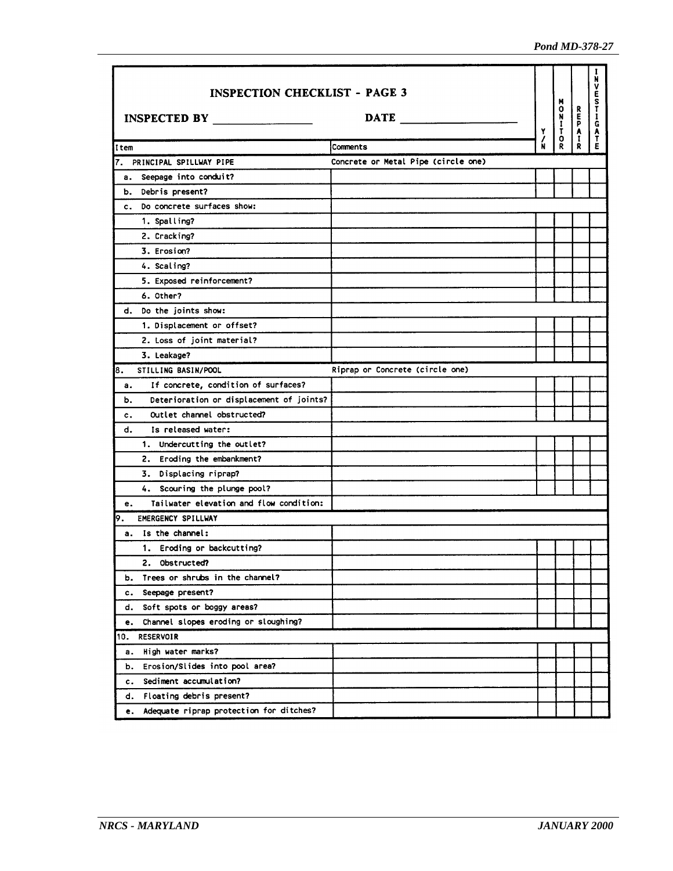| <b>INSPECTION CHECKLIST - PAGE 3</b>                                 |          | Y      | 0<br>2<br>0<br>7<br>0<br>2 |       | N<br>۷   |
|----------------------------------------------------------------------|----------|--------|----------------------------|-------|----------|
| $\overline{\text{DATE}}$                                             |          |        |                            | REPAI | ESTIGATE |
| Item                                                                 | Comments | /<br>N |                            | R     |          |
| Concrete or Metal Pipe (circle one)<br>7.<br>PRINCIPAL SPILLWAY PIPE |          |        |                            |       |          |
| Seepage into conduit?<br>а.                                          |          |        |                            |       |          |
| Debris present?<br>ь.                                                |          |        |                            |       |          |
| Do concrete surfaces show:<br>$c_{\rm{max}}$                         |          |        |                            |       |          |
| 1. Spalling?                                                         |          |        |                            |       |          |
| 2. Cracking?                                                         |          |        |                            |       |          |
| 3. Erosion?                                                          |          |        |                            |       |          |
| 4. Scaling?                                                          |          |        |                            |       |          |
| 5. Exposed reinforcement?                                            |          |        |                            |       |          |
| 6. Other?                                                            |          |        |                            |       |          |
| Do the joints show:<br>d.                                            |          |        |                            |       |          |
| 1. Displacement or offset?                                           |          |        |                            |       |          |
| 2. Loss of joint material?                                           |          |        |                            |       |          |
| 3. Leakage?                                                          |          |        |                            |       |          |
| 8.<br>Riprap or Concrete (circle one)<br>STILLING BASIN/POOL         |          |        |                            |       |          |
| If concrete, condition of surfaces?<br>а.                            |          |        |                            |       |          |
| Deterioration or displacement of joints?<br>b.                       |          |        |                            |       |          |
| Outlet channel obstructed?<br>c.                                     |          |        |                            |       |          |
| Is released water:<br>d.                                             |          |        |                            |       |          |
| 1. Undercutting the outlet?                                          |          |        |                            |       |          |
| 2. Eroding the embankment?                                           |          |        |                            |       |          |
| 3. Displacing riprap?                                                |          |        |                            |       |          |
| 4. Scouring the plunge pool?                                         |          |        |                            |       |          |
| Tailwater elevation and flow condition:<br>е.                        |          |        |                            |       |          |
| 9.<br>EMERGENCY SPILLWAY                                             |          |        |                            |       |          |
| Is the channel:<br>а.                                                |          |        |                            |       |          |
| 1. Eroding or backcutting?                                           |          |        |                            |       |          |
| 2. Obstructed?                                                       |          |        |                            |       |          |
| Trees or shrubs in the channel?<br>ь.                                |          |        |                            |       |          |
| Seepage present?<br>c.                                               |          |        |                            |       |          |
| Soft spots or boggy areas?<br>d.                                     |          |        |                            |       |          |
| Channel slopes eroding or sloughing?<br>e.                           |          |        |                            |       |          |
| 10.<br><b>RESERVOIR</b>                                              |          |        |                            |       |          |
| High water marks?<br>а.                                              |          |        |                            |       |          |
| Erosion/Slides into pool area?<br>b.                                 |          |        |                            |       |          |
| Sediment accumulation?<br>c.                                         |          |        |                            |       |          |
| Floating debris present?<br>d.                                       |          |        |                            |       |          |
| Adequate riprap protection for ditches?<br>e.                        |          |        |                            |       |          |